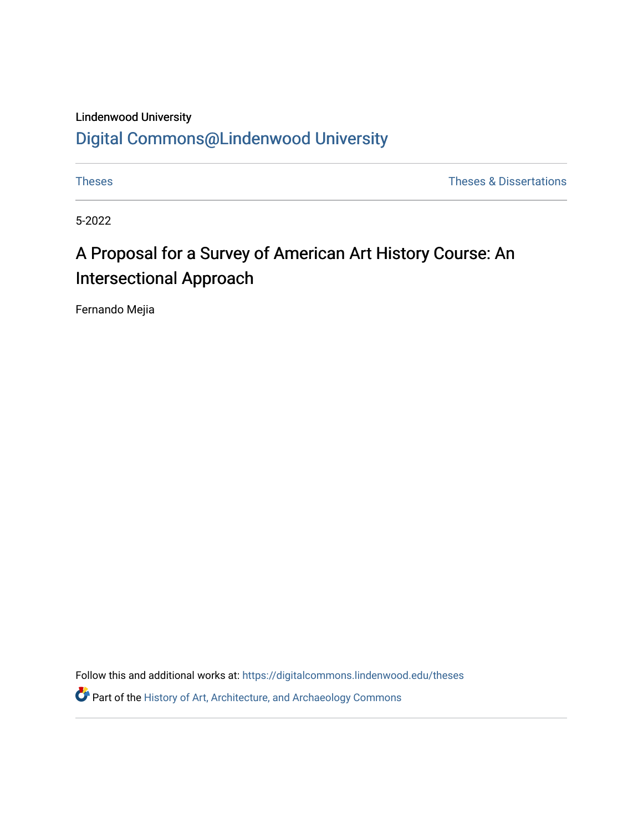Lindenwood University

# [Digital Commons@Lindenwood University](https://digitalcommons.lindenwood.edu/)

**Theses** [Theses](https://digitalcommons.lindenwood.edu/theses) & Dissertations **Theses** & Dissertations **Theses** & Dissertations

5-2022

# A Proposal for a Survey of American Art History Course: An Intersectional Approach

Fernando Mejia

Follow this and additional works at: [https://digitalcommons.lindenwood.edu/theses](https://digitalcommons.lindenwood.edu/theses?utm_source=digitalcommons.lindenwood.edu%2Ftheses%2F72&utm_medium=PDF&utm_campaign=PDFCoverPages)

**P** Part of the History of Art, Architecture, and Archaeology Commons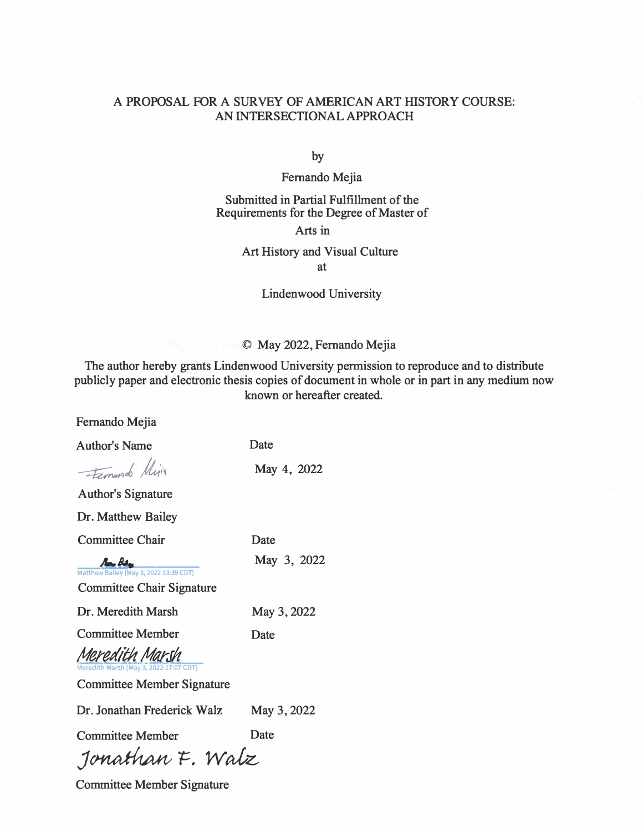### **A PROPOSAL FOR A SURVEY OF AMERICAN ART HISTORY COURSE: AN INTERSECTIONAL APPROACH**

**by** 

**Fernando Mejia** 

### **Submitted in Partial Fulfillment of the Requirements for the Degree of Master of**

#### **Arts in**

#### **Art History and Visual Culture at**

### **Lindenwood University**

### **© May 2022, Fernando Mejia**

**The author hereby grants Lindenwood University permission to reproduce and to distribute publicly paper and electronic thesis copies of document in whole or in part in any medium now known or hereafter created.** 

| I CHIGHO INCHA                                                                                |             |  |  |
|-----------------------------------------------------------------------------------------------|-------------|--|--|
| <b>Author's Name</b>                                                                          | Date        |  |  |
| Fernando Mija                                                                                 | May 4, 2022 |  |  |
| <b>Author's Signature</b>                                                                     |             |  |  |
| Dr. Matthew Bailey                                                                            |             |  |  |
| <b>Committee Chair</b>                                                                        | Date        |  |  |
| $A - A$<br>Matthew Bailey (May 3, 2022 13:39 CDT)<br><b>Committee Chair Signature</b>         | May 3, 2022 |  |  |
| Dr. Meredith Marsh                                                                            | May 3, 2022 |  |  |
| <b>Committee Member</b>                                                                       | Date        |  |  |
| Meredith Marsh<br>Meredith Marsh (May 3, 2022 17:07 CDT)<br><b>Committee Member Signature</b> |             |  |  |
| Dr. Jonathan Frederick Walz<br>May 3, 2022                                                    |             |  |  |
| <b>Committee Member</b><br>Date                                                               |             |  |  |
| Jonathan F. Walz                                                                              |             |  |  |

**Committee Member Signature** 

**Fernando Mejia**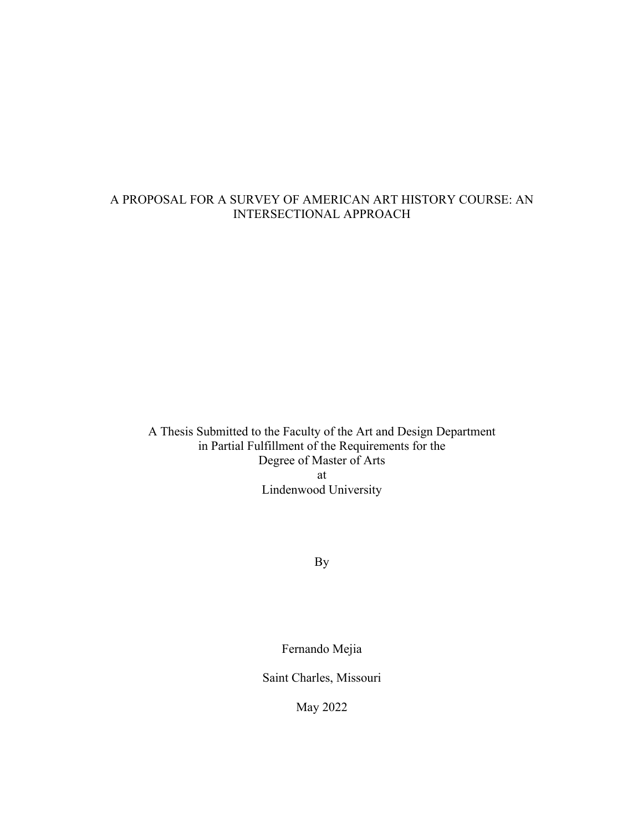# A PROPOSAL FOR A SURVEY OF AMERICAN ART HISTORY COURSE: AN INTERSECTIONAL APPROACH

A Thesis Submitted to the Faculty of the Art and Design Department in Partial Fulfillment of the Requirements for the Degree of Master of Arts at Lindenwood University

By

Fernando Mejia

Saint Charles, Missouri

May 2022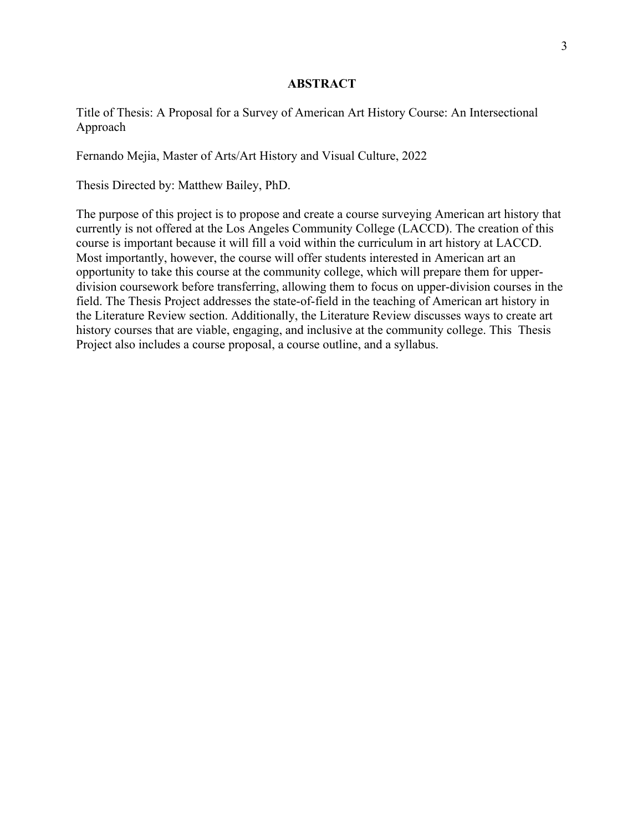#### **ABSTRACT**

Title of Thesis: A Proposal for a Survey of American Art History Course: An Intersectional Approach

Fernando Mejia, Master of Arts/Art History and Visual Culture, 2022

Thesis Directed by: Matthew Bailey, PhD.

The purpose of this project is to propose and create a course surveying American art history that currently is not offered at the Los Angeles Community College (LACCD). The creation of this course is important because it will fill a void within the curriculum in art history at LACCD. Most importantly, however, the course will offer students interested in American art an opportunity to take this course at the community college, which will prepare them for upperdivision coursework before transferring, allowing them to focus on upper-division courses in the field. The Thesis Project addresses the state-of-field in the teaching of American art history in the Literature Review section. Additionally, the Literature Review discusses ways to create art history courses that are viable, engaging, and inclusive at the community college. This Thesis Project also includes a course proposal, a course outline, and a syllabus.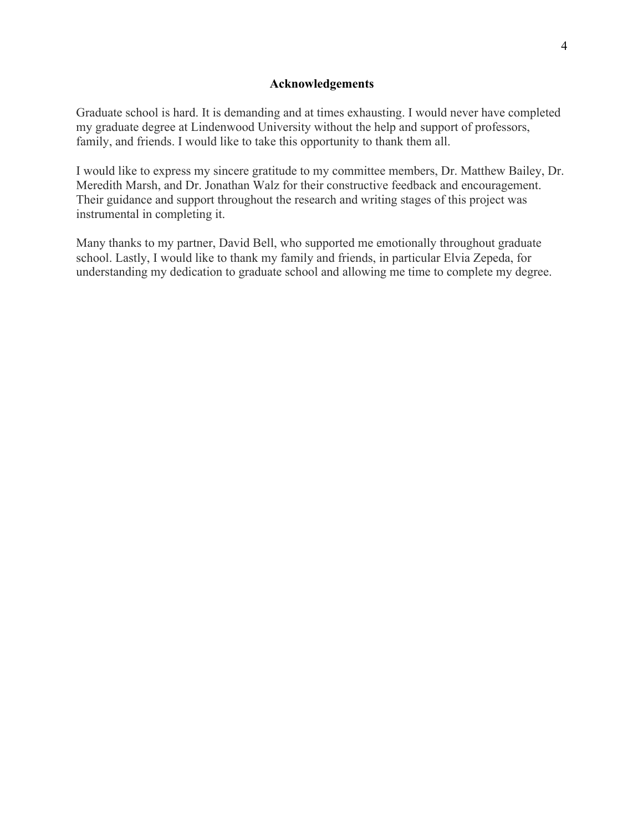#### **Acknowledgements**

Graduate school is hard. It is demanding and at times exhausting. I would never have completed my graduate degree at Lindenwood University without the help and support of professors, family, and friends. I would like to take this opportunity to thank them all.

I would like to express my sincere gratitude to my committee members, Dr. Matthew Bailey, Dr. Meredith Marsh, and Dr. Jonathan Walz for their constructive feedback and encouragement. Their guidance and support throughout the research and writing stages of this project was instrumental in completing it.

Many thanks to my partner, David Bell, who supported me emotionally throughout graduate school. Lastly, I would like to thank my family and friends, in particular Elvia Zepeda, for understanding my dedication to graduate school and allowing me time to complete my degree.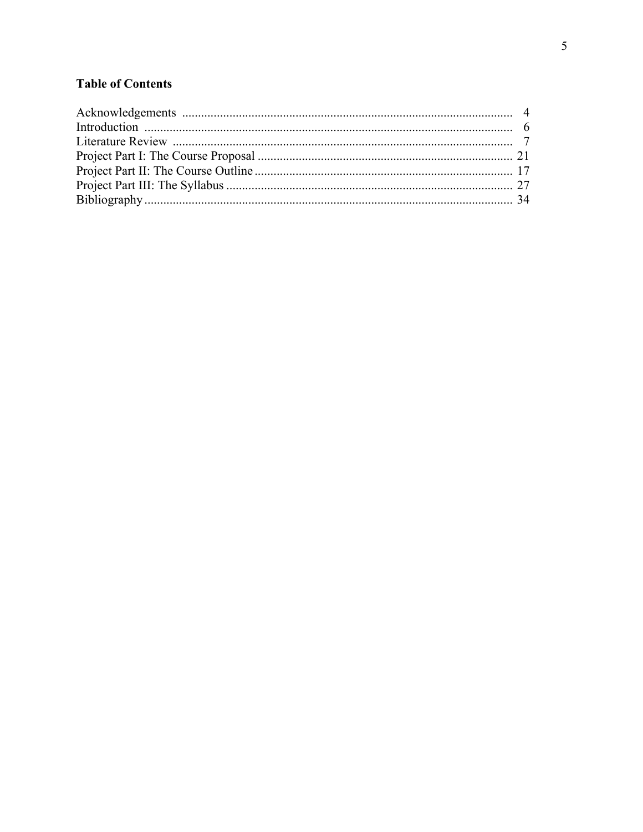# **Table of Contents**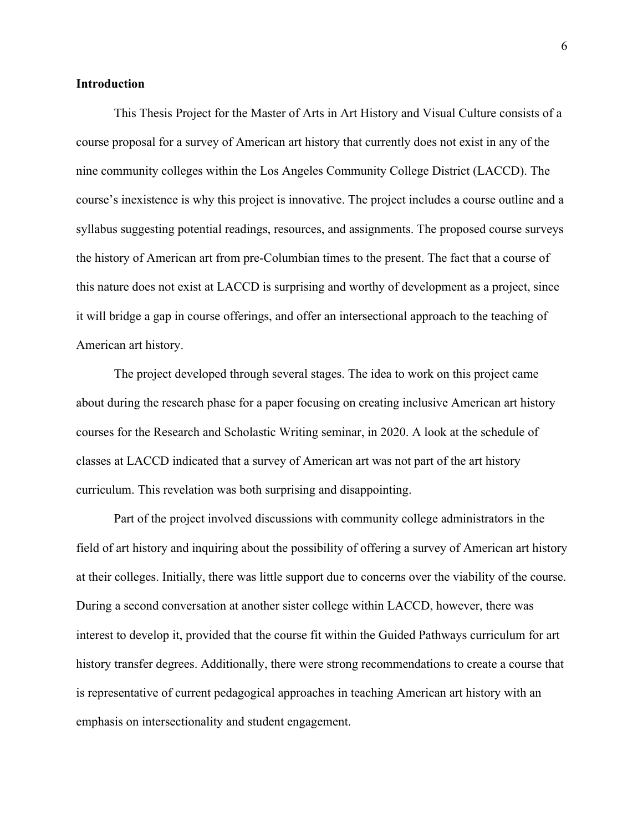#### **Introduction**

This Thesis Project for the Master of Arts in Art History and Visual Culture consists of a course proposal for a survey of American art history that currently does not exist in any of the nine community colleges within the Los Angeles Community College District (LACCD). The course's inexistence is why this project is innovative. The project includes a course outline and a syllabus suggesting potential readings, resources, and assignments. The proposed course surveys the history of American art from pre-Columbian times to the present. The fact that a course of this nature does not exist at LACCD is surprising and worthy of development as a project, since it will bridge a gap in course offerings, and offer an intersectional approach to the teaching of American art history.

The project developed through several stages. The idea to work on this project came about during the research phase for a paper focusing on creating inclusive American art history courses for the Research and Scholastic Writing seminar, in 2020. A look at the schedule of classes at LACCD indicated that a survey of American art was not part of the art history curriculum. This revelation was both surprising and disappointing.

Part of the project involved discussions with community college administrators in the field of art history and inquiring about the possibility of offering a survey of American art history at their colleges. Initially, there was little support due to concerns over the viability of the course. During a second conversation at another sister college within LACCD, however, there was interest to develop it, provided that the course fit within the Guided Pathways curriculum for art history transfer degrees. Additionally, there were strong recommendations to create a course that is representative of current pedagogical approaches in teaching American art history with an emphasis on intersectionality and student engagement.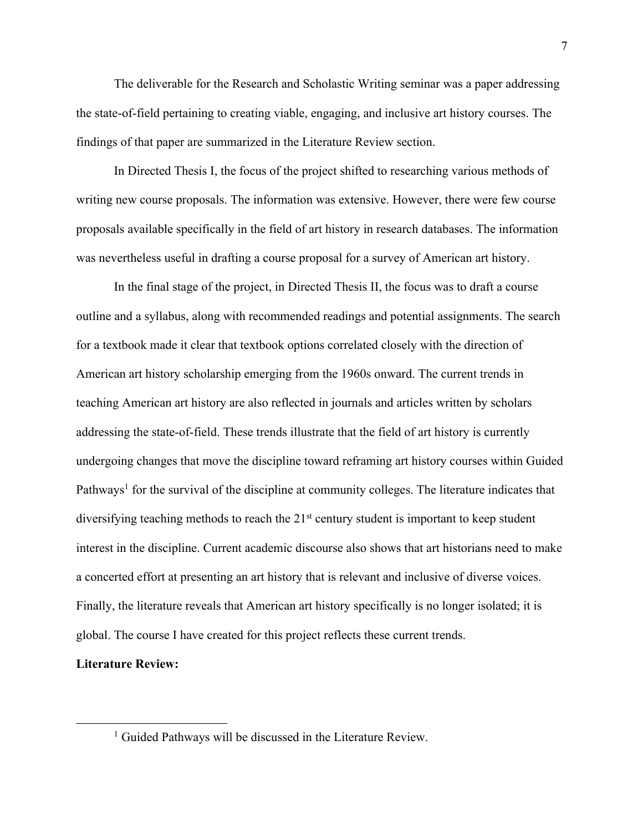The deliverable for the Research and Scholastic Writing seminar was a paper addressing the state-of-field pertaining to creating viable, engaging, and inclusive art history courses. The findings of that paper are summarized in the Literature Review section.

In Directed Thesis I, the focus of the project shifted to researching various methods of writing new course proposals. The information was extensive. However, there were few course proposals available specifically in the field of art history in research databases. The information was nevertheless useful in drafting a course proposal for a survey of American art history.

In the final stage of the project, in Directed Thesis II, the focus was to draft a course outline and a syllabus, along with recommended readings and potential assignments. The search for a textbook made it clear that textbook options correlated closely with the direction of American art history scholarship emerging from the 1960s onward. The current trends in teaching American art history are also reflected in journals and articles written by scholars addressing the state-of-field. These trends illustrate that the field of art history is currently undergoing changes that move the discipline toward reframing art history courses within Guided Pathways<sup>1</sup> for the survival of the discipline at community colleges. The literature indicates that diversifying teaching methods to reach the  $21<sup>st</sup>$  century student is important to keep student interest in the discipline. Current academic discourse also shows that art historians need to make a concerted effort at presenting an art history that is relevant and inclusive of diverse voices. Finally, the literature reveals that American art history specifically is no longer isolated; it is global. The course I have created for this project reflects these current trends.

#### **Literature Review:**

<sup>&</sup>lt;sup>1</sup> Guided Pathways will be discussed in the Literature Review.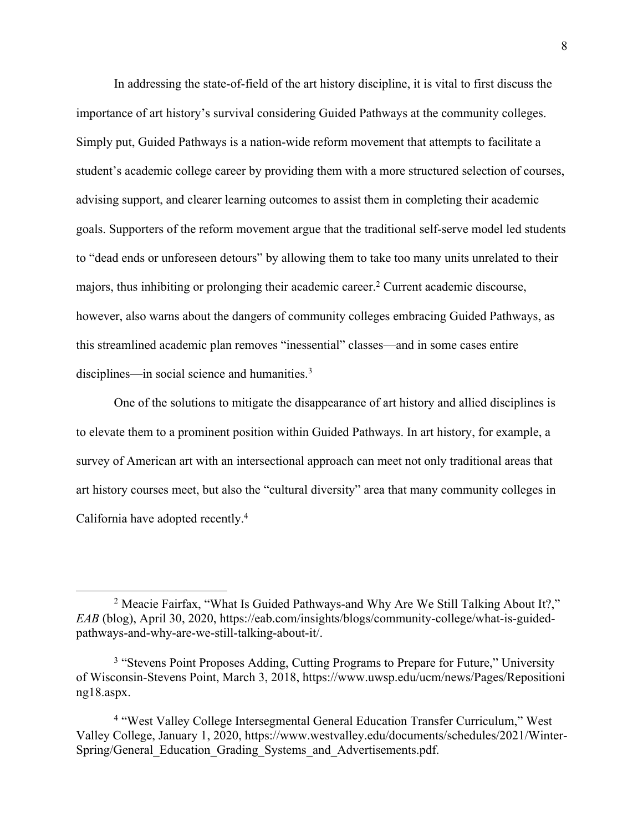In addressing the state-of-field of the art history discipline, it is vital to first discuss the importance of art history's survival considering Guided Pathways at the community colleges. Simply put, Guided Pathways is a nation-wide reform movement that attempts to facilitate a student's academic college career by providing them with a more structured selection of courses, advising support, and clearer learning outcomes to assist them in completing their academic goals. Supporters of the reform movement argue that the traditional self-serve model led students to "dead ends or unforeseen detours" by allowing them to take too many units unrelated to their majors, thus inhibiting or prolonging their academic career.<sup>2</sup> Current academic discourse, however, also warns about the dangers of community colleges embracing Guided Pathways, as this streamlined academic plan removes "inessential" classes—and in some cases entire disciplines—in social science and humanities.<sup>3</sup>

One of the solutions to mitigate the disappearance of art history and allied disciplines is to elevate them to a prominent position within Guided Pathways. In art history, for example, a survey of American art with an intersectional approach can meet not only traditional areas that art history courses meet, but also the "cultural diversity" area that many community colleges in California have adopted recently.4

<sup>&</sup>lt;sup>2</sup> Meacie Fairfax, "What Is Guided Pathways-and Why Are We Still Talking About It?," *EAB* (blog), April 30, 2020, https://eab.com/insights/blogs/community-college/what-is-guidedpathways-and-why-are-we-still-talking-about-it/.

<sup>&</sup>lt;sup>3</sup> "Stevens Point Proposes Adding, Cutting Programs to Prepare for Future," University of Wisconsin-Stevens Point, March 3, 2018, https://www.uwsp.edu/ucm/news/Pages/Repositioni ng18.aspx.

<sup>4</sup> "West Valley College Intersegmental General Education Transfer Curriculum," West Valley College, January 1, 2020, https://www.westvalley.edu/documents/schedules/2021/Winter-Spring/General Education Grading Systems and Advertisements.pdf.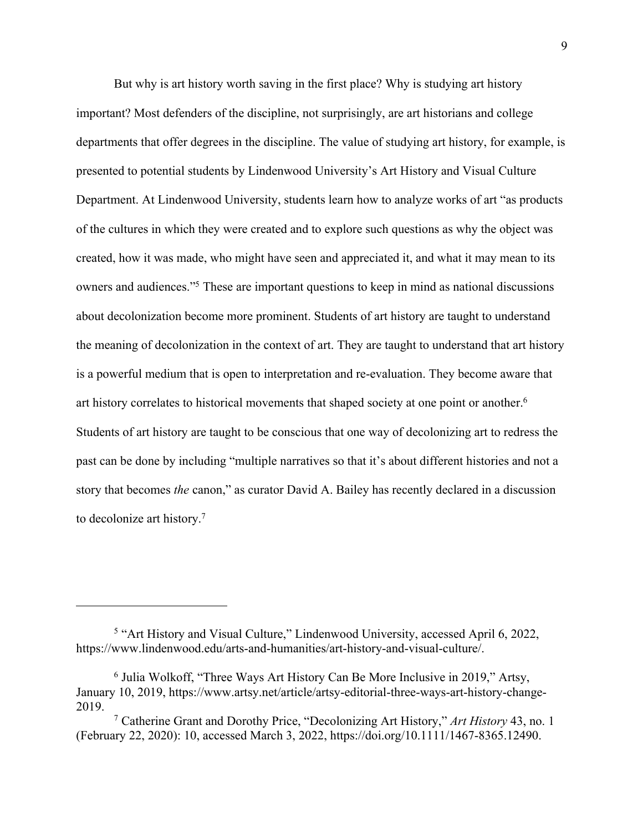But why is art history worth saving in the first place? Why is studying art history important? Most defenders of the discipline, not surprisingly, are art historians and college departments that offer degrees in the discipline. The value of studying art history, for example, is presented to potential students by Lindenwood University's Art History and Visual Culture Department. At Lindenwood University, students learn how to analyze works of art "as products of the cultures in which they were created and to explore such questions as why the object was created, how it was made, who might have seen and appreciated it, and what it may mean to its owners and audiences."5 These are important questions to keep in mind as national discussions about decolonization become more prominent. Students of art history are taught to understand the meaning of decolonization in the context of art. They are taught to understand that art history is a powerful medium that is open to interpretation and re-evaluation. They become aware that art history correlates to historical movements that shaped society at one point or another. 6 Students of art history are taught to be conscious that one way of decolonizing art to redress the past can be done by including "multiple narratives so that it's about different histories and not a story that becomes *the* canon," as curator David A. Bailey has recently declared in a discussion to decolonize art history.7

<sup>&</sup>lt;sup>5</sup> "Art History and Visual Culture," Lindenwood University, accessed April 6, 2022, https://www.lindenwood.edu/arts-and-humanities/art-history-and-visual-culture/.

<sup>6</sup> Julia Wolkoff, "Three Ways Art History Can Be More Inclusive in 2019," Artsy, January 10, 2019, https://www.artsy.net/article/artsy-editorial-three-ways-art-history-change-2019.

<sup>7</sup> Catherine Grant and Dorothy Price, "Decolonizing Art History," *Art History* 43, no. 1 (February 22, 2020): 10, accessed March 3, 2022, https://doi.org/10.1111/1467-8365.12490.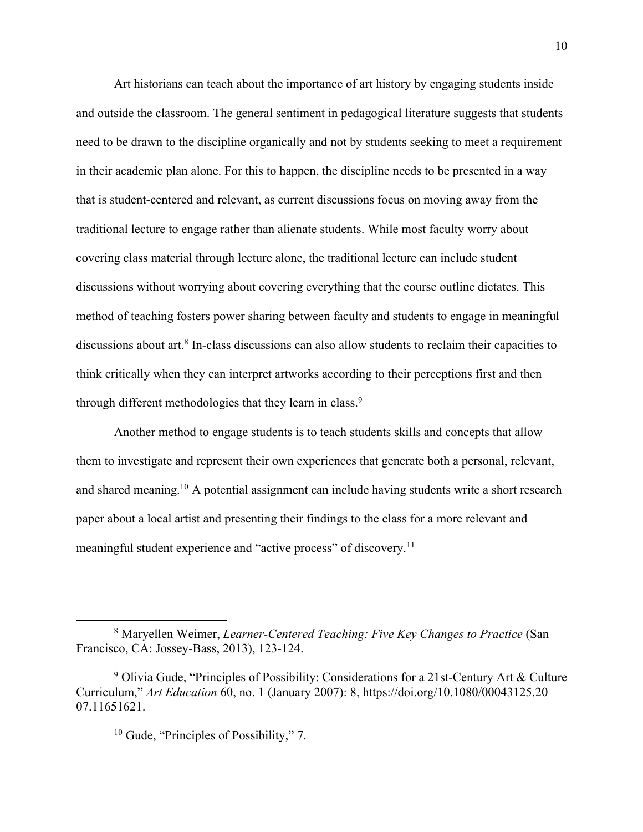Art historians can teach about the importance of art history by engaging students inside and outside the classroom. The general sentiment in pedagogical literature suggests that students need to be drawn to the discipline organically and not by students seeking to meet a requirement in their academic plan alone. For this to happen, the discipline needs to be presented in a way that is student-centered and relevant, as current discussions focus on moving away from the traditional lecture to engage rather than alienate students. While most faculty worry about covering class material through lecture alone, the traditional lecture can include student discussions without worrying about covering everything that the course outline dictates. This method of teaching fosters power sharing between faculty and students to engage in meaningful discussions about art.<sup>8</sup> In-class discussions can also allow students to reclaim their capacities to think critically when they can interpret artworks according to their perceptions first and then through different methodologies that they learn in class.<sup>9</sup>

Another method to engage students is to teach students skills and concepts that allow them to investigate and represent their own experiences that generate both a personal, relevant, and shared meaning.<sup>10</sup> A potential assignment can include having students write a short research paper about a local artist and presenting their findings to the class for a more relevant and meaningful student experience and "active process" of discovery.<sup>11</sup>

<sup>8</sup> Maryellen Weimer, *Learner-Centered Teaching: Five Key Changes to Practice* (San Francisco, CA: Jossey-Bass, 2013), 123-124.

<sup>9</sup> Olivia Gude, "Principles of Possibility: Considerations for a 21st-Century Art & Culture Curriculum," *Art Education* 60, no. 1 (January 2007): 8, https://doi.org/10.1080/00043125.20 07.11651621.

<sup>10</sup> Gude, "Principles of Possibility," 7.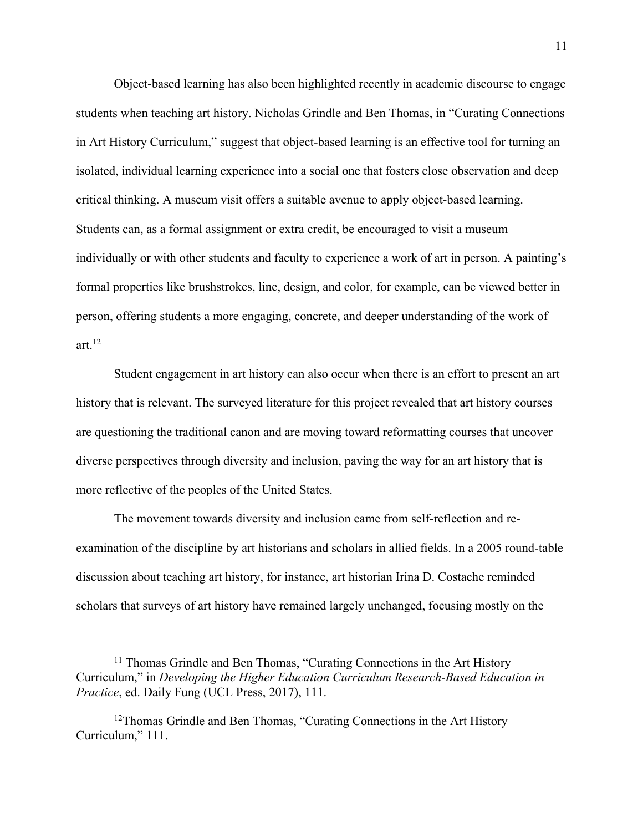Object-based learning has also been highlighted recently in academic discourse to engage students when teaching art history. Nicholas Grindle and Ben Thomas, in "Curating Connections in Art History Curriculum," suggest that object-based learning is an effective tool for turning an isolated, individual learning experience into a social one that fosters close observation and deep critical thinking. A museum visit offers a suitable avenue to apply object-based learning. Students can, as a formal assignment or extra credit, be encouraged to visit a museum individually or with other students and faculty to experience a work of art in person. A painting's formal properties like brushstrokes, line, design, and color, for example, can be viewed better in person, offering students a more engaging, concrete, and deeper understanding of the work of art. $^{12}$ 

Student engagement in art history can also occur when there is an effort to present an art history that is relevant. The surveyed literature for this project revealed that art history courses are questioning the traditional canon and are moving toward reformatting courses that uncover diverse perspectives through diversity and inclusion, paving the way for an art history that is more reflective of the peoples of the United States.

The movement towards diversity and inclusion came from self-reflection and reexamination of the discipline by art historians and scholars in allied fields. In a 2005 round-table discussion about teaching art history, for instance, art historian Irina D. Costache reminded scholars that surveys of art history have remained largely unchanged, focusing mostly on the

<sup>&</sup>lt;sup>11</sup> Thomas Grindle and Ben Thomas, "Curating Connections in the Art History Curriculum," in *Developing the Higher Education Curriculum Research-Based Education in Practice*, ed. Daily Fung (UCL Press, 2017), 111.

<sup>&</sup>lt;sup>12</sup>Thomas Grindle and Ben Thomas, "Curating Connections in the Art History Curriculum," 111.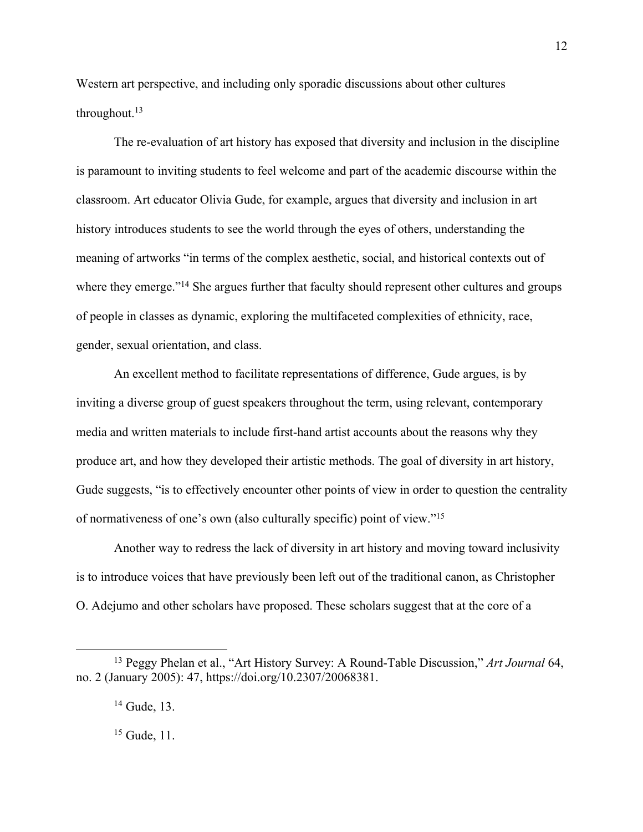Western art perspective, and including only sporadic discussions about other cultures throughout.<sup>13</sup>

The re-evaluation of art history has exposed that diversity and inclusion in the discipline is paramount to inviting students to feel welcome and part of the academic discourse within the classroom. Art educator Olivia Gude, for example, argues that diversity and inclusion in art history introduces students to see the world through the eyes of others, understanding the meaning of artworks "in terms of the complex aesthetic, social, and historical contexts out of where they emerge."<sup>14</sup> She argues further that faculty should represent other cultures and groups of people in classes as dynamic, exploring the multifaceted complexities of ethnicity, race, gender, sexual orientation, and class.

An excellent method to facilitate representations of difference, Gude argues, is by inviting a diverse group of guest speakers throughout the term, using relevant, contemporary media and written materials to include first-hand artist accounts about the reasons why they produce art, and how they developed their artistic methods. The goal of diversity in art history, Gude suggests, "is to effectively encounter other points of view in order to question the centrality of normativeness of one's own (also culturally specific) point of view."15

Another way to redress the lack of diversity in art history and moving toward inclusivity is to introduce voices that have previously been left out of the traditional canon, as Christopher O. Adejumo and other scholars have proposed. These scholars suggest that at the core of a

<sup>15</sup> Gude, 11.

<sup>13</sup> Peggy Phelan et al., "Art History Survey: A Round-Table Discussion," *Art Journal* 64, no. 2 (January 2005): 47, https://doi.org/10.2307/20068381.

<sup>&</sup>lt;sup>14</sup> Gude, 13.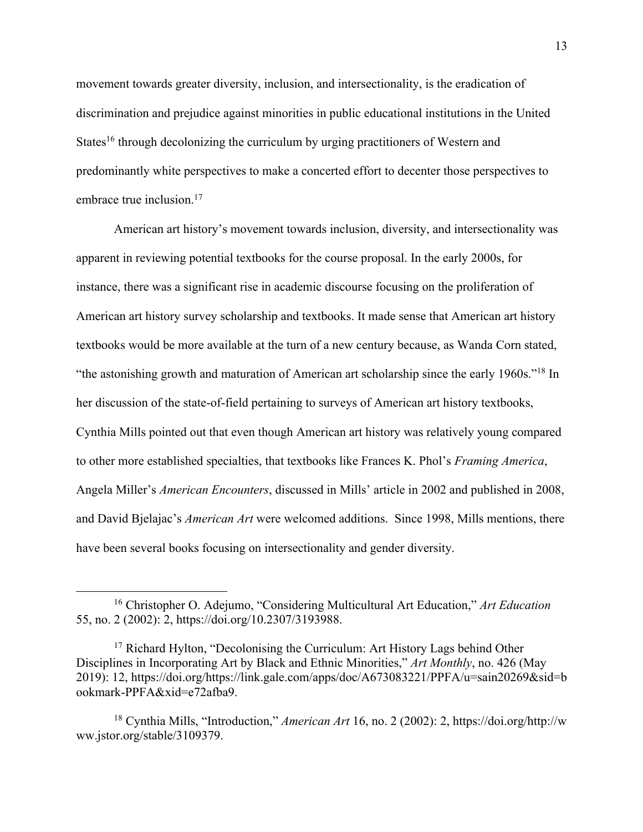movement towards greater diversity, inclusion, and intersectionality, is the eradication of discrimination and prejudice against minorities in public educational institutions in the United States<sup>16</sup> through decolonizing the curriculum by urging practitioners of Western and predominantly white perspectives to make a concerted effort to decenter those perspectives to embrace true inclusion.<sup>17</sup>

American art history's movement towards inclusion, diversity, and intersectionality was apparent in reviewing potential textbooks for the course proposal. In the early 2000s, for instance, there was a significant rise in academic discourse focusing on the proliferation of American art history survey scholarship and textbooks. It made sense that American art history textbooks would be more available at the turn of a new century because, as Wanda Corn stated, "the astonishing growth and maturation of American art scholarship since the early 1960s."18 In her discussion of the state-of-field pertaining to surveys of American art history textbooks, Cynthia Mills pointed out that even though American art history was relatively young compared to other more established specialties, that textbooks like Frances K. Phol's *Framing America*, Angela Miller's *American Encounters*, discussed in Mills' article in 2002 and published in 2008, and David Bjelajac's *American Art* were welcomed additions. Since 1998, Mills mentions, there have been several books focusing on intersectionality and gender diversity.

<sup>16</sup> Christopher O. Adejumo, "Considering Multicultural Art Education," *Art Education* 55, no. 2 (2002): 2, https://doi.org/10.2307/3193988.

<sup>&</sup>lt;sup>17</sup> Richard Hylton, "Decolonising the Curriculum: Art History Lags behind Other Disciplines in Incorporating Art by Black and Ethnic Minorities," *Art Monthly*, no. 426 (May 2019): 12, https://doi.org/https://link.gale.com/apps/doc/A673083221/PPFA/u=sain20269&sid=b ookmark-PPFA&xid=e72afba9.

<sup>18</sup> Cynthia Mills, "Introduction," *American Art* 16, no. 2 (2002): 2, https://doi.org/http://w ww.jstor.org/stable/3109379.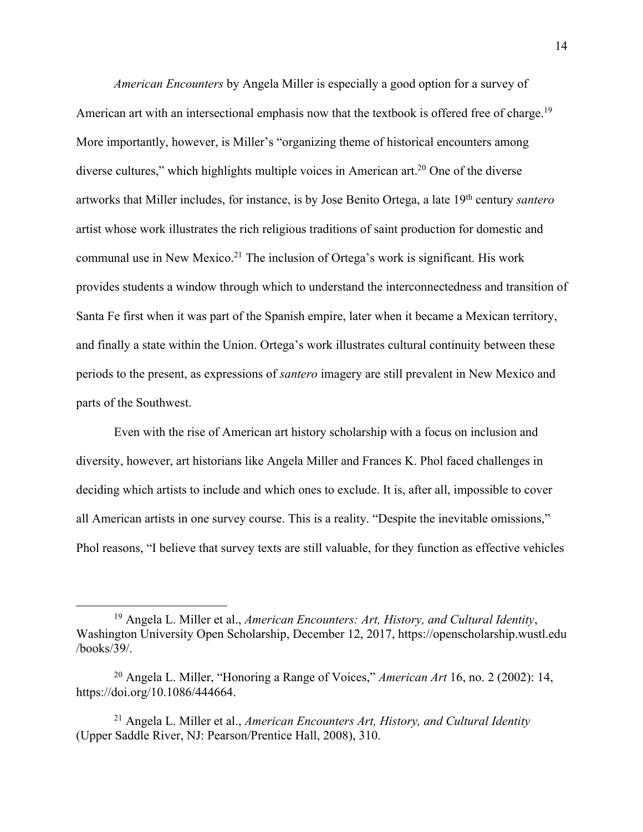*American Encounters* by Angela Miller is especially a good option for a survey of American art with an intersectional emphasis now that the textbook is offered free of charge.<sup>19</sup> More importantly, however, is Miller's "organizing theme of historical encounters among diverse cultures," which highlights multiple voices in American art.<sup>20</sup> One of the diverse artworks that Miller includes, for instance, is by Jose Benito Ortega, a late 19th century *santero* artist whose work illustrates the rich religious traditions of saint production for domestic and communal use in New Mexico.<sup>21</sup> The inclusion of Ortega's work is significant. His work provides students a window through which to understand the interconnectedness and transition of Santa Fe first when it was part of the Spanish empire, later when it became a Mexican territory, and finally a state within the Union. Ortega's work illustrates cultural continuity between these periods to the present, as expressions of *santero* imagery are still prevalent in New Mexico and parts of the Southwest.

Even with the rise of American art history scholarship with a focus on inclusion and diversity, however, art historians like Angela Miller and Frances K. Phol faced challenges in deciding which artists to include and which ones to exclude. It is, after all, impossible to cover all American artists in one survey course. This is a reality. "Despite the inevitable omissions," Phol reasons, "I believe that survey texts are still valuable, for they function as effective vehicles

<sup>19</sup> Angela L. Miller et al., *American Encounters: Art, History, and Cultural Identity*, Washington University Open Scholarship, December 12, 2017, https://openscholarship.wustl.edu /books/39/.

<sup>20</sup> Angela L. Miller, "Honoring a Range of Voices," *American Art* 16, no. 2 (2002): 14, https://doi.org/10.1086/444664.

<sup>21</sup> Angela L. Miller et al., *American Encounters Art, History, and Cultural Identity* (Upper Saddle River, NJ: Pearson/Prentice Hall, 2008), 310.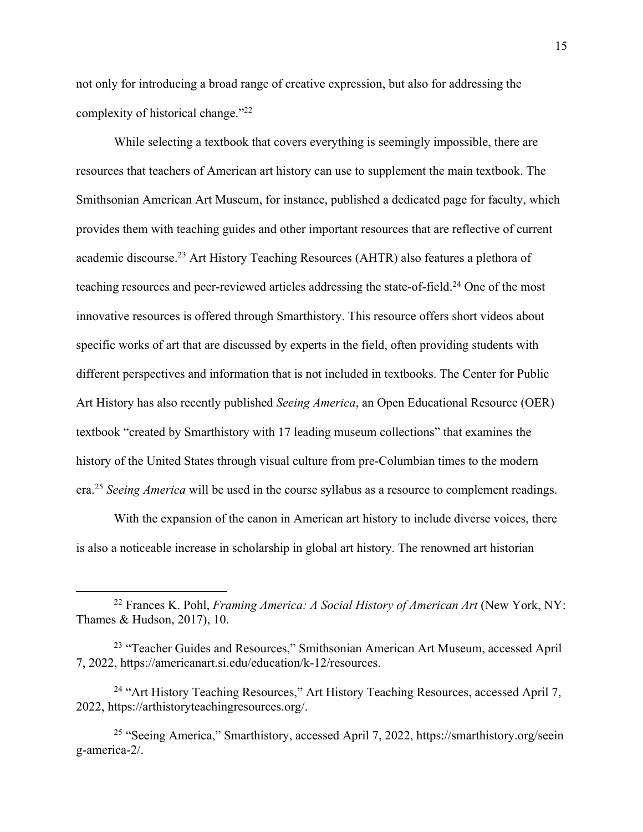not only for introducing a broad range of creative expression, but also for addressing the complexity of historical change."22

While selecting a textbook that covers everything is seemingly impossible, there are resources that teachers of American art history can use to supplement the main textbook. The Smithsonian American Art Museum, for instance, published a dedicated page for faculty, which provides them with teaching guides and other important resources that are reflective of current academic discourse.23 Art History Teaching Resources (AHTR) also features a plethora of teaching resources and peer-reviewed articles addressing the state-of-field.<sup>24</sup> One of the most innovative resources is offered through Smarthistory. This resource offers short videos about specific works of art that are discussed by experts in the field, often providing students with different perspectives and information that is not included in textbooks. The Center for Public Art History has also recently published *Seeing America*, an Open Educational Resource (OER) textbook "created by Smarthistory with 17 leading museum collections" that examines the history of the United States through visual culture from pre-Columbian times to the modern era. <sup>25</sup> *Seeing America* will be used in the course syllabus as a resource to complement readings.

With the expansion of the canon in American art history to include diverse voices, there is also a noticeable increase in scholarship in global art history. The renowned art historian

<sup>22</sup> Frances K. Pohl, *Framing America: A Social History of American Art* (New York, NY: Thames & Hudson, 2017), 10.

<sup>&</sup>lt;sup>23</sup> "Teacher Guides and Resources," Smithsonian American Art Museum, accessed April 7, 2022, https://americanart.si.edu/education/k-12/resources.

<sup>&</sup>lt;sup>24</sup> "Art History Teaching Resources," Art History Teaching Resources, accessed April 7, 2022, https://arthistoryteachingresources.org/.

<sup>25</sup> "Seeing America," Smarthistory, accessed April 7, 2022, https://smarthistory.org/seein g-america-2/.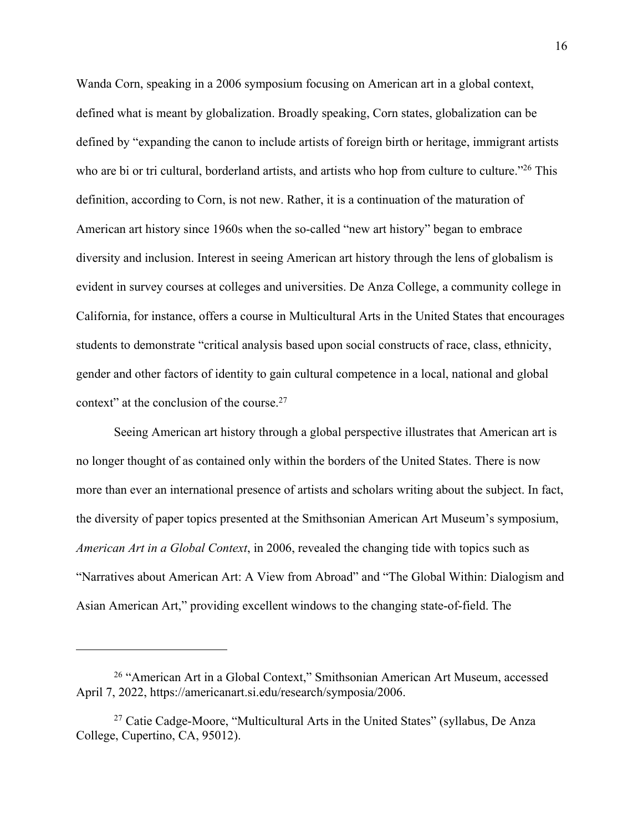Wanda Corn, speaking in a 2006 symposium focusing on American art in a global context, defined what is meant by globalization. Broadly speaking, Corn states, globalization can be defined by "expanding the canon to include artists of foreign birth or heritage, immigrant artists who are bi or tri cultural, borderland artists, and artists who hop from culture to culture."<sup>26</sup> This definition, according to Corn, is not new. Rather, it is a continuation of the maturation of American art history since 1960s when the so-called "new art history" began to embrace diversity and inclusion. Interest in seeing American art history through the lens of globalism is evident in survey courses at colleges and universities. De Anza College, a community college in California, for instance, offers a course in Multicultural Arts in the United States that encourages students to demonstrate "critical analysis based upon social constructs of race, class, ethnicity, gender and other factors of identity to gain cultural competence in a local, national and global context" at the conclusion of the course.<sup>27</sup>

Seeing American art history through a global perspective illustrates that American art is no longer thought of as contained only within the borders of the United States. There is now more than ever an international presence of artists and scholars writing about the subject. In fact, the diversity of paper topics presented at the Smithsonian American Art Museum's symposium, *American Art in a Global Context*, in 2006, revealed the changing tide with topics such as "Narratives about American Art: A View from Abroad" and "The Global Within: Dialogism and Asian American Art," providing excellent windows to the changing state-of-field. The

<sup>26</sup> "American Art in a Global Context," Smithsonian American Art Museum, accessed April 7, 2022, https://americanart.si.edu/research/symposia/2006.

<sup>&</sup>lt;sup>27</sup> Catie Cadge-Moore, "Multicultural Arts in the United States" (syllabus, De Anza College, Cupertino, CA, 95012).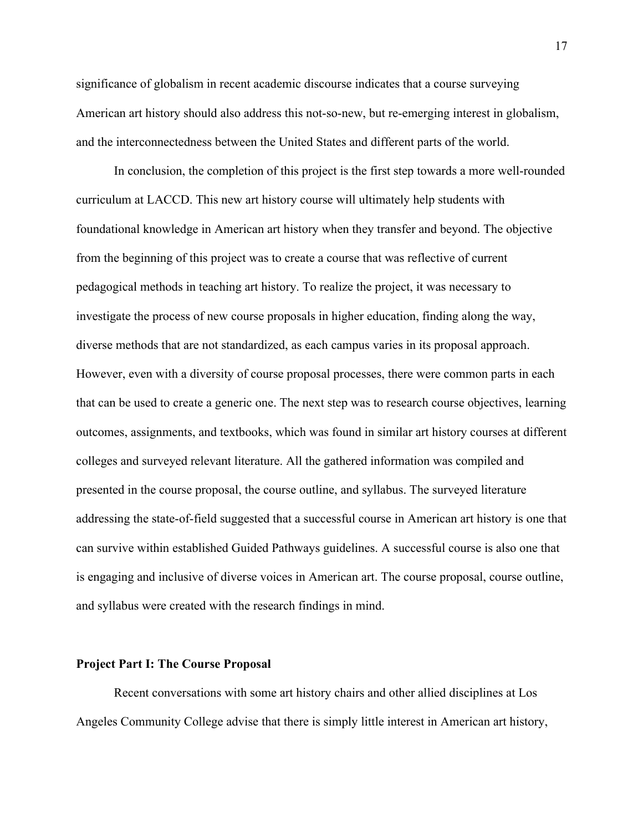significance of globalism in recent academic discourse indicates that a course surveying American art history should also address this not-so-new, but re-emerging interest in globalism, and the interconnectedness between the United States and different parts of the world.

In conclusion, the completion of this project is the first step towards a more well-rounded curriculum at LACCD. This new art history course will ultimately help students with foundational knowledge in American art history when they transfer and beyond. The objective from the beginning of this project was to create a course that was reflective of current pedagogical methods in teaching art history. To realize the project, it was necessary to investigate the process of new course proposals in higher education, finding along the way, diverse methods that are not standardized, as each campus varies in its proposal approach. However, even with a diversity of course proposal processes, there were common parts in each that can be used to create a generic one. The next step was to research course objectives, learning outcomes, assignments, and textbooks, which was found in similar art history courses at different colleges and surveyed relevant literature. All the gathered information was compiled and presented in the course proposal, the course outline, and syllabus. The surveyed literature addressing the state-of-field suggested that a successful course in American art history is one that can survive within established Guided Pathways guidelines. A successful course is also one that is engaging and inclusive of diverse voices in American art. The course proposal, course outline, and syllabus were created with the research findings in mind.

#### **Project Part I: The Course Proposal**

Recent conversations with some art history chairs and other allied disciplines at Los Angeles Community College advise that there is simply little interest in American art history,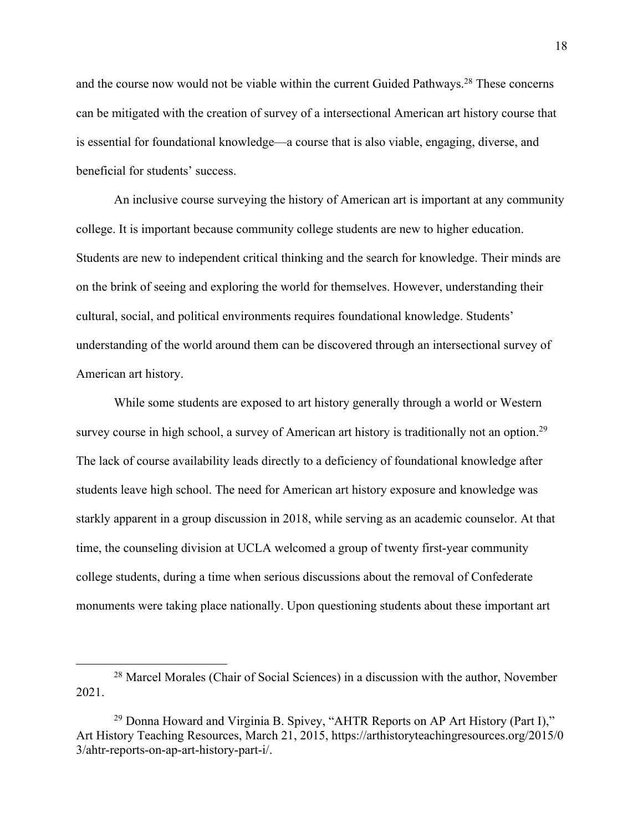and the course now would not be viable within the current Guided Pathways.<sup>28</sup> These concerns can be mitigated with the creation of survey of a intersectional American art history course that is essential for foundational knowledge—a course that is also viable, engaging, diverse, and beneficial for students' success.

An inclusive course surveying the history of American art is important at any community college. It is important because community college students are new to higher education. Students are new to independent critical thinking and the search for knowledge. Their minds are on the brink of seeing and exploring the world for themselves. However, understanding their cultural, social, and political environments requires foundational knowledge. Students' understanding of the world around them can be discovered through an intersectional survey of American art history.

While some students are exposed to art history generally through a world or Western survey course in high school, a survey of American art history is traditionally not an option.<sup>29</sup> The lack of course availability leads directly to a deficiency of foundational knowledge after students leave high school. The need for American art history exposure and knowledge was starkly apparent in a group discussion in 2018, while serving as an academic counselor. At that time, the counseling division at UCLA welcomed a group of twenty first-year community college students, during a time when serious discussions about the removal of Confederate monuments were taking place nationally. Upon questioning students about these important art

<sup>28</sup> Marcel Morales (Chair of Social Sciences) in a discussion with the author, November 2021.

<sup>&</sup>lt;sup>29</sup> Donna Howard and Virginia B. Spivey, "AHTR Reports on AP Art History (Part I)," Art History Teaching Resources, March 21, 2015, https://arthistoryteachingresources.org/2015/0 3/ahtr-reports-on-ap-art-history-part-i/.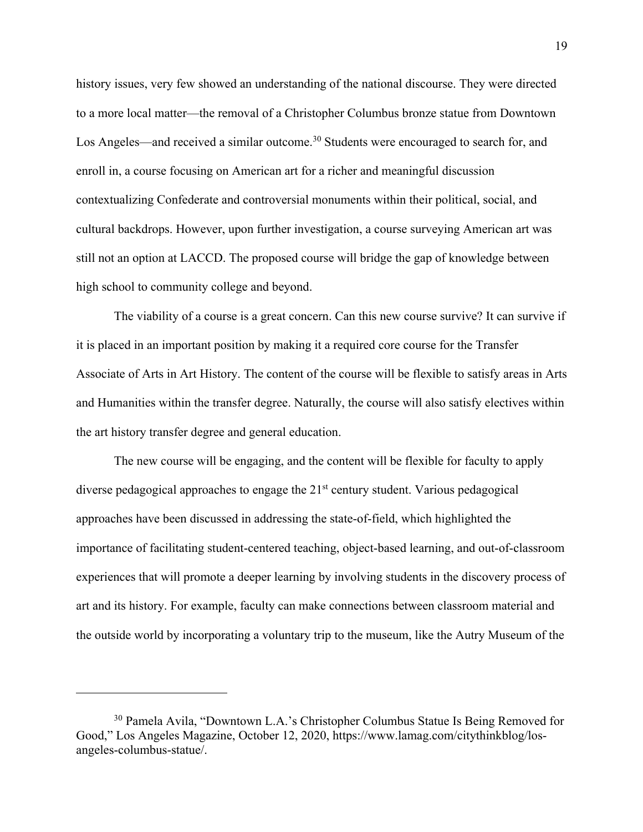history issues, very few showed an understanding of the national discourse. They were directed to a more local matter—the removal of a Christopher Columbus bronze statue from Downtown Los Angeles—and received a similar outcome.<sup>30</sup> Students were encouraged to search for, and enroll in, a course focusing on American art for a richer and meaningful discussion contextualizing Confederate and controversial monuments within their political, social, and cultural backdrops. However, upon further investigation, a course surveying American art was still not an option at LACCD. The proposed course will bridge the gap of knowledge between high school to community college and beyond.

The viability of a course is a great concern. Can this new course survive? It can survive if it is placed in an important position by making it a required core course for the Transfer Associate of Arts in Art History. The content of the course will be flexible to satisfy areas in Arts and Humanities within the transfer degree. Naturally, the course will also satisfy electives within the art history transfer degree and general education.

The new course will be engaging, and the content will be flexible for faculty to apply diverse pedagogical approaches to engage the 21<sup>st</sup> century student. Various pedagogical approaches have been discussed in addressing the state-of-field, which highlighted the importance of facilitating student-centered teaching, object-based learning, and out-of-classroom experiences that will promote a deeper learning by involving students in the discovery process of art and its history. For example, faculty can make connections between classroom material and the outside world by incorporating a voluntary trip to the museum, like the Autry Museum of the

<sup>30</sup> Pamela Avila, "Downtown L.A.'s Christopher Columbus Statue Is Being Removed for Good," Los Angeles Magazine, October 12, 2020, https://www.lamag.com/citythinkblog/losangeles-columbus-statue/.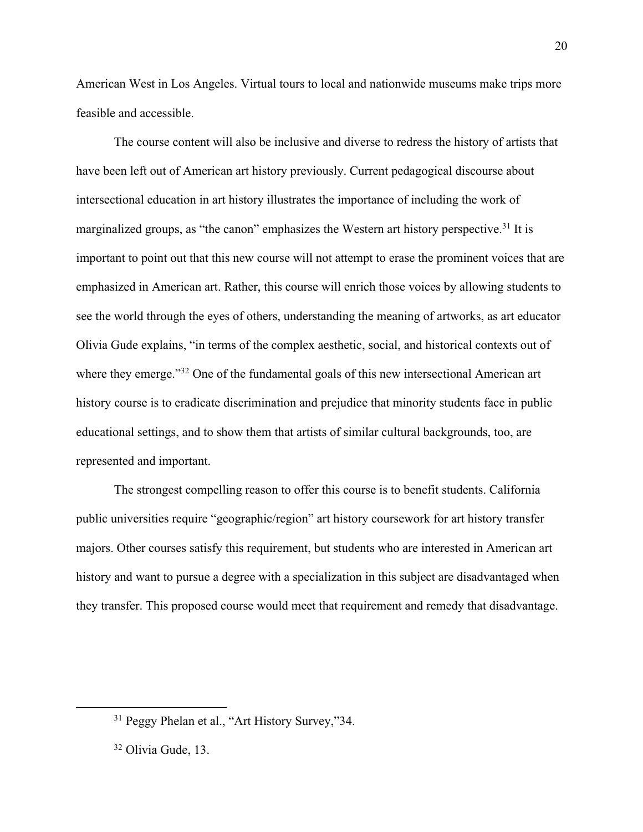American West in Los Angeles. Virtual tours to local and nationwide museums make trips more feasible and accessible.

The course content will also be inclusive and diverse to redress the history of artists that have been left out of American art history previously. Current pedagogical discourse about intersectional education in art history illustrates the importance of including the work of marginalized groups, as "the canon" emphasizes the Western art history perspective.<sup>31</sup> It is important to point out that this new course will not attempt to erase the prominent voices that are emphasized in American art. Rather, this course will enrich those voices by allowing students to see the world through the eyes of others, understanding the meaning of artworks, as art educator Olivia Gude explains, "in terms of the complex aesthetic, social, and historical contexts out of where they emerge."<sup>32</sup> One of the fundamental goals of this new intersectional American art history course is to eradicate discrimination and prejudice that minority students face in public educational settings, and to show them that artists of similar cultural backgrounds, too, are represented and important.

The strongest compelling reason to offer this course is to benefit students. California public universities require "geographic/region" art history coursework for art history transfer majors. Other courses satisfy this requirement, but students who are interested in American art history and want to pursue a degree with a specialization in this subject are disadvantaged when they transfer. This proposed course would meet that requirement and remedy that disadvantage.

<sup>&</sup>lt;sup>31</sup> Peggy Phelan et al., "Art History Survey,"34.

<sup>32</sup> Olivia Gude, 13.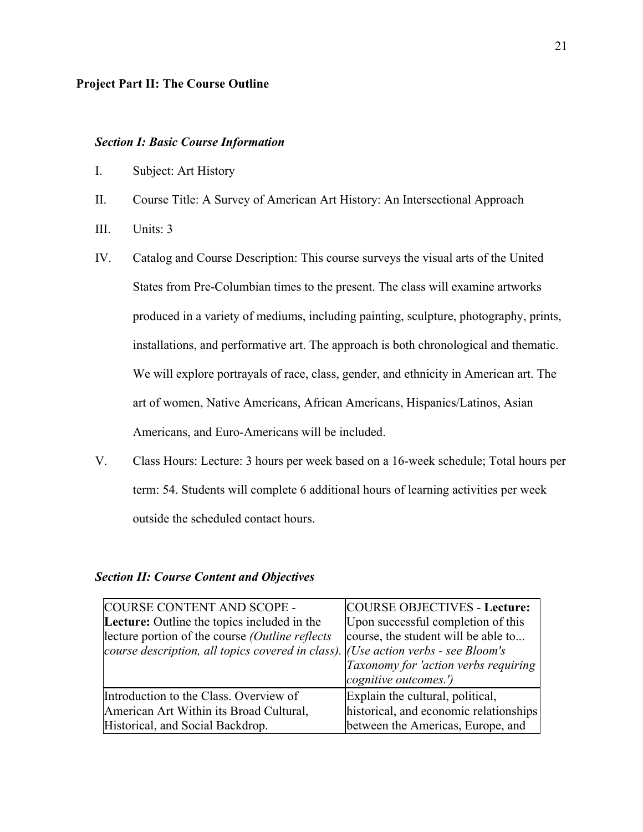#### **Project Part II: The Course Outline**

#### *Section I: Basic Course Information*

- I. Subject: Art History
- II. Course Title: A Survey of American Art History: An Intersectional Approach
- III. Units: 3
- IV. Catalog and Course Description: This course surveys the visual arts of the United States from Pre-Columbian times to the present. The class will examine artworks produced in a variety of mediums, including painting, sculpture, photography, prints, installations, and performative art. The approach is both chronological and thematic. We will explore portrayals of race, class, gender, and ethnicity in American art. The art of women, Native Americans, African Americans, Hispanics/Latinos, Asian Americans, and Euro-Americans will be included.
- V. Class Hours: Lecture: 3 hours per week based on a 16-week schedule; Total hours per term: 54. Students will complete 6 additional hours of learning activities per week outside the scheduled contact hours.

#### *Section II: Course Content and Objectives*

| COURSE CONTENT AND SCOPE -                                                        | <b>COURSE OBJECTIVES - Lecture:</b>    |
|-----------------------------------------------------------------------------------|----------------------------------------|
| Lecture: Outline the topics included in the                                       | Upon successful completion of this     |
| lecture portion of the course (Outline reflects                                   | course, the student will be able to    |
| course description, all topics covered in class). (Use action verbs - see Bloom's |                                        |
|                                                                                   | Taxonomy for 'action verbs requiring   |
|                                                                                   | cognitive outcomes.')                  |
| Introduction to the Class. Overview of                                            | Explain the cultural, political,       |
| American Art Within its Broad Cultural,                                           | historical, and economic relationships |
| Historical, and Social Backdrop.                                                  | between the Americas, Europe, and      |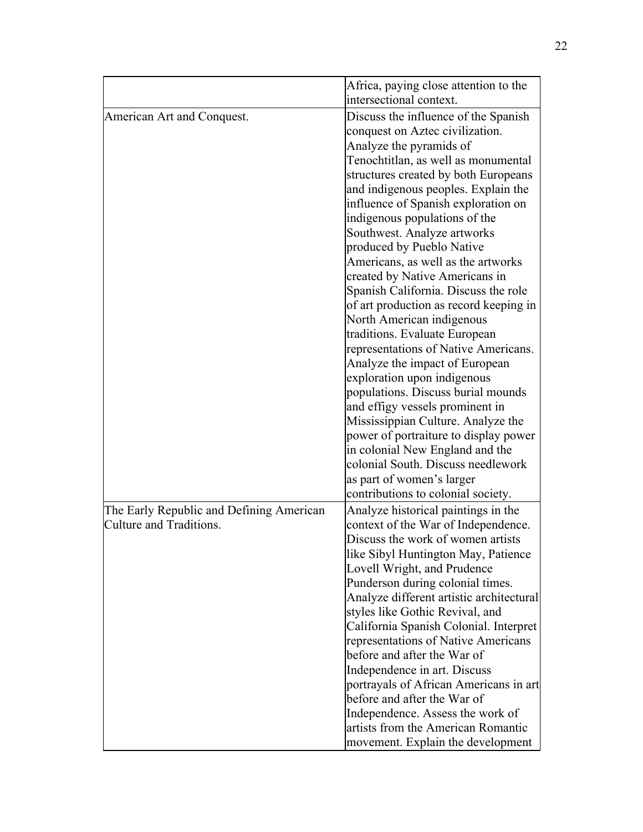|                                                                     | Africa, paying close attention to the<br>intersectional context.                                       |  |  |
|---------------------------------------------------------------------|--------------------------------------------------------------------------------------------------------|--|--|
| American Art and Conquest.                                          | Discuss the influence of the Spanish<br>conquest on Aztec civilization.                                |  |  |
|                                                                     | Analyze the pyramids of<br>Tenochtitlan, as well as monumental<br>structures created by both Europeans |  |  |
|                                                                     | and indigenous peoples. Explain the<br>influence of Spanish exploration on                             |  |  |
|                                                                     | indigenous populations of the<br>Southwest. Analyze artworks                                           |  |  |
|                                                                     | produced by Pueblo Native                                                                              |  |  |
|                                                                     | Americans, as well as the artworks                                                                     |  |  |
|                                                                     | created by Native Americans in<br>Spanish California. Discuss the role                                 |  |  |
|                                                                     | of art production as record keeping in                                                                 |  |  |
|                                                                     | North American indigenous                                                                              |  |  |
|                                                                     | traditions. Evaluate European                                                                          |  |  |
|                                                                     | representations of Native Americans.                                                                   |  |  |
|                                                                     | Analyze the impact of European                                                                         |  |  |
|                                                                     | exploration upon indigenous<br>populations. Discuss burial mounds                                      |  |  |
|                                                                     | and effigy vessels prominent in                                                                        |  |  |
|                                                                     | Mississippian Culture. Analyze the                                                                     |  |  |
|                                                                     | power of portraiture to display power                                                                  |  |  |
|                                                                     | in colonial New England and the                                                                        |  |  |
|                                                                     | colonial South. Discuss needlework                                                                     |  |  |
|                                                                     | as part of women's larger                                                                              |  |  |
|                                                                     | contributions to colonial society.                                                                     |  |  |
| The Early Republic and Defining American<br>Culture and Traditions. | Analyze historical paintings in the<br>context of the War of Independence.                             |  |  |
|                                                                     | Discuss the work of women artists                                                                      |  |  |
|                                                                     | like Sibyl Huntington May, Patience                                                                    |  |  |
|                                                                     | Lovell Wright, and Prudence                                                                            |  |  |
|                                                                     | Punderson during colonial times.                                                                       |  |  |
|                                                                     | Analyze different artistic architectural                                                               |  |  |
|                                                                     | styles like Gothic Revival, and                                                                        |  |  |
|                                                                     | California Spanish Colonial. Interpret<br>representations of Native Americans                          |  |  |
|                                                                     | before and after the War of                                                                            |  |  |
|                                                                     | Independence in art. Discuss                                                                           |  |  |
|                                                                     | portrayals of African Americans in art                                                                 |  |  |
|                                                                     | before and after the War of                                                                            |  |  |
|                                                                     | Independence. Assess the work of                                                                       |  |  |
|                                                                     | artists from the American Romantic                                                                     |  |  |
|                                                                     | movement. Explain the development                                                                      |  |  |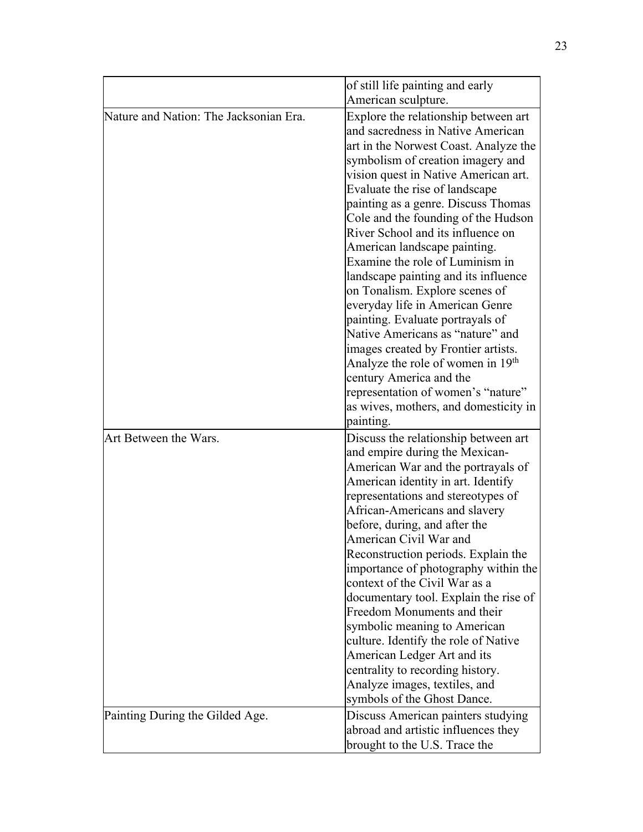|                                        | of still life painting and early                             |
|----------------------------------------|--------------------------------------------------------------|
|                                        | American sculpture.                                          |
| Nature and Nation: The Jacksonian Era. | Explore the relationship between art                         |
|                                        | and sacredness in Native American                            |
|                                        | art in the Norwest Coast. Analyze the                        |
|                                        | symbolism of creation imagery and                            |
|                                        | vision quest in Native American art.                         |
|                                        | Evaluate the rise of landscape                               |
|                                        | painting as a genre. Discuss Thomas                          |
|                                        | Cole and the founding of the Hudson                          |
|                                        | River School and its influence on                            |
|                                        | American landscape painting.                                 |
|                                        | Examine the role of Luminism in                              |
|                                        | landscape painting and its influence                         |
|                                        | on Tonalism. Explore scenes of                               |
|                                        | everyday life in American Genre                              |
|                                        | painting. Evaluate portrayals of                             |
|                                        | Native Americans as "nature" and                             |
|                                        | images created by Frontier artists.                          |
|                                        | Analyze the role of women in 19 <sup>th</sup>                |
|                                        | century America and the                                      |
|                                        | representation of women's "nature"                           |
|                                        | as wives, mothers, and domesticity in                        |
|                                        | painting.                                                    |
| Art Between the Wars.                  | Discuss the relationship between art                         |
|                                        | and empire during the Mexican-                               |
|                                        | American War and the portrayals of                           |
|                                        | American identity in art. Identify                           |
|                                        | representations and stereotypes of                           |
|                                        | African-Americans and slavery                                |
|                                        | before, during, and after the                                |
|                                        | American Civil War and                                       |
|                                        | Reconstruction periods. Explain the                          |
|                                        | importance of photography within the                         |
|                                        | context of the Civil War as a                                |
|                                        | documentary tool. Explain the rise of                        |
|                                        | Freedom Monuments and their                                  |
|                                        | symbolic meaning to American                                 |
|                                        | culture. Identify the role of Native                         |
|                                        | American Ledger Art and its                                  |
|                                        | centrality to recording history.                             |
|                                        | Analyze images, textiles, and<br>symbols of the Ghost Dance. |
|                                        |                                                              |
| Painting During the Gilded Age.        | Discuss American painters studying                           |
|                                        | abroad and artistic influences they                          |
|                                        | brought to the U.S. Trace the                                |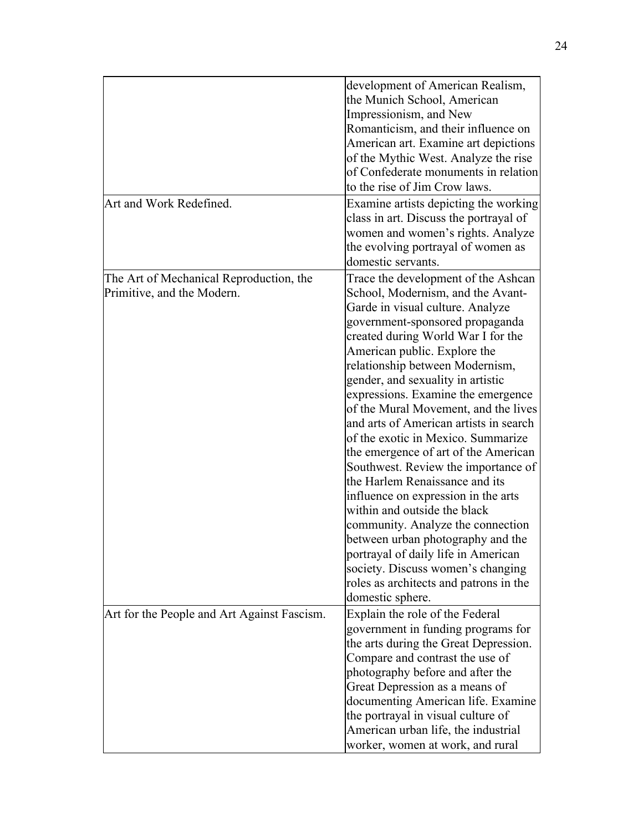|                                                                       | development of American Realism,<br>the Munich School, American<br>Impressionism, and New<br>Romanticism, and their influence on<br>American art. Examine art depictions<br>of the Mythic West. Analyze the rise<br>of Confederate monuments in relation<br>to the rise of Jim Crow laws.                                                                                                                                                                                                                                                                                                                                                                                                                                                                                                                                                                               |
|-----------------------------------------------------------------------|-------------------------------------------------------------------------------------------------------------------------------------------------------------------------------------------------------------------------------------------------------------------------------------------------------------------------------------------------------------------------------------------------------------------------------------------------------------------------------------------------------------------------------------------------------------------------------------------------------------------------------------------------------------------------------------------------------------------------------------------------------------------------------------------------------------------------------------------------------------------------|
| Art and Work Redefined.                                               | Examine artists depicting the working<br>class in art. Discuss the portrayal of<br>women and women's rights. Analyze<br>the evolving portrayal of women as<br>domestic servants.                                                                                                                                                                                                                                                                                                                                                                                                                                                                                                                                                                                                                                                                                        |
| The Art of Mechanical Reproduction, the<br>Primitive, and the Modern. | Trace the development of the Ashcan<br>School, Modernism, and the Avant-<br>Garde in visual culture. Analyze<br>government-sponsored propaganda<br>created during World War I for the<br>American public. Explore the<br>relationship between Modernism,<br>gender, and sexuality in artistic<br>expressions. Examine the emergence<br>of the Mural Movement, and the lives<br>and arts of American artists in search<br>of the exotic in Mexico. Summarize<br>the emergence of art of the American<br>Southwest. Review the importance of<br>the Harlem Renaissance and its<br>influence on expression in the arts<br>within and outside the black<br>community. Analyze the connection<br>between urban photography and the<br>portrayal of daily life in American<br>society. Discuss women's changing<br>roles as architects and patrons in the<br>domestic sphere. |
| Art for the People and Art Against Fascism.                           | Explain the role of the Federal<br>government in funding programs for<br>the arts during the Great Depression.<br>Compare and contrast the use of<br>photography before and after the<br>Great Depression as a means of<br>documenting American life. Examine<br>the portrayal in visual culture of<br>American urban life, the industrial<br>worker, women at work, and rural                                                                                                                                                                                                                                                                                                                                                                                                                                                                                          |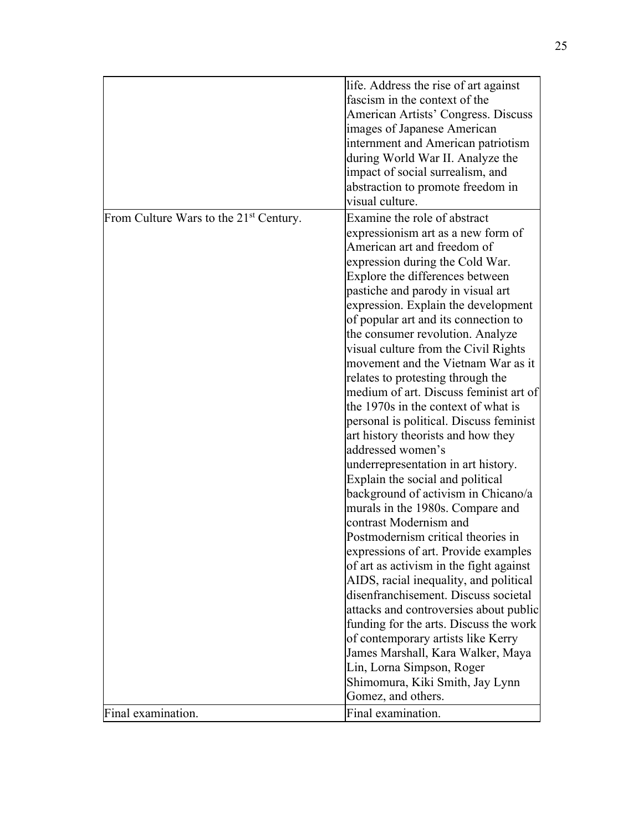|                                                    | life. Address the rise of art against<br>fascism in the context of the<br>American Artists' Congress. Discuss<br>images of Japanese American<br>internment and American patriotism<br>during World War II. Analyze the                                                                                                                                                                                                                                                                                                                                                                                                                                                                                                                                                                                                                                                                                                                                                                                                                                                                                                                                                                              |
|----------------------------------------------------|-----------------------------------------------------------------------------------------------------------------------------------------------------------------------------------------------------------------------------------------------------------------------------------------------------------------------------------------------------------------------------------------------------------------------------------------------------------------------------------------------------------------------------------------------------------------------------------------------------------------------------------------------------------------------------------------------------------------------------------------------------------------------------------------------------------------------------------------------------------------------------------------------------------------------------------------------------------------------------------------------------------------------------------------------------------------------------------------------------------------------------------------------------------------------------------------------------|
|                                                    | impact of social surrealism, and<br>abstraction to promote freedom in<br>visual culture.                                                                                                                                                                                                                                                                                                                                                                                                                                                                                                                                                                                                                                                                                                                                                                                                                                                                                                                                                                                                                                                                                                            |
| From Culture Wars to the 21 <sup>st</sup> Century. | Examine the role of abstract<br>expressionism art as a new form of<br>American art and freedom of<br>expression during the Cold War.<br>Explore the differences between<br>pastiche and parody in visual art<br>expression. Explain the development<br>of popular art and its connection to<br>the consumer revolution. Analyze<br>visual culture from the Civil Rights<br>movement and the Vietnam War as it<br>relates to protesting through the<br>medium of art. Discuss feminist art of<br>the 1970s in the context of what is<br>personal is political. Discuss feminist<br>art history theorists and how they<br>addressed women's<br>underrepresentation in art history.<br>Explain the social and political<br>background of activism in Chicano/a<br>murals in the 1980s. Compare and<br>contrast Modernism and<br>Postmodernism critical theories in<br>expressions of art. Provide examples<br>of art as activism in the fight against<br>AIDS, racial inequality, and political<br>disenfranchisement. Discuss societal<br>attacks and controversies about public<br>funding for the arts. Discuss the work<br>of contemporary artists like Kerry<br>James Marshall, Kara Walker, Maya |
| Final examination.                                 | Lin, Lorna Simpson, Roger<br>Shimomura, Kiki Smith, Jay Lynn<br>Gomez, and others.<br>Final examination.                                                                                                                                                                                                                                                                                                                                                                                                                                                                                                                                                                                                                                                                                                                                                                                                                                                                                                                                                                                                                                                                                            |
|                                                    |                                                                                                                                                                                                                                                                                                                                                                                                                                                                                                                                                                                                                                                                                                                                                                                                                                                                                                                                                                                                                                                                                                                                                                                                     |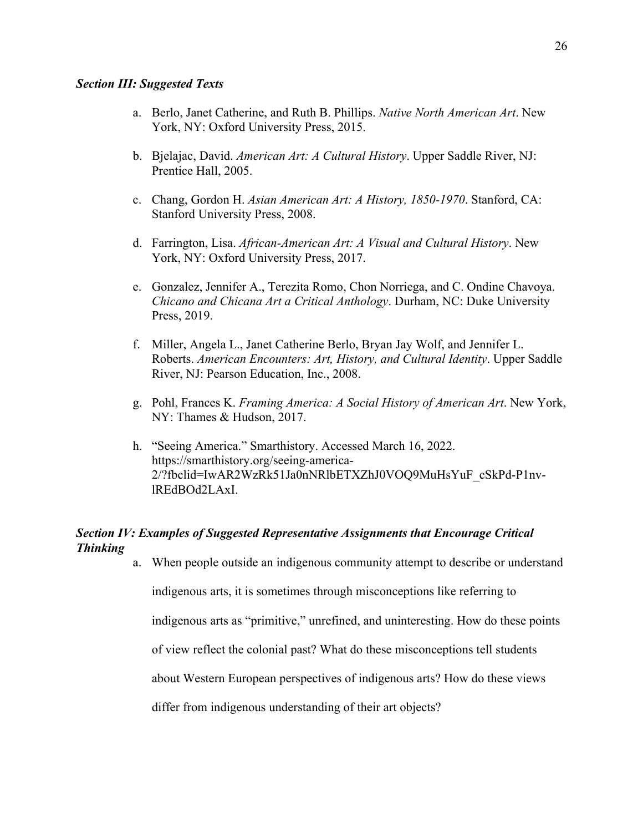#### *Section III: Suggested Texts*

- a. Berlo, Janet Catherine, and Ruth B. Phillips. *Native North American Art*. New York, NY: Oxford University Press, 2015.
- b. Bjelajac, David. *American Art: A Cultural History*. Upper Saddle River, NJ: Prentice Hall, 2005.
- c. Chang, Gordon H. *Asian American Art: A History, 1850-1970*. Stanford, CA: Stanford University Press, 2008.
- d. Farrington, Lisa. *African-American Art: A Visual and Cultural History*. New York, NY: Oxford University Press, 2017.
- e. Gonzalez, Jennifer A., Terezita Romo, Chon Norriega, and C. Ondine Chavoya. *Chicano and Chicana Art a Critical Anthology*. Durham, NC: Duke University Press, 2019.
- f. Miller, Angela L., Janet Catherine Berlo, Bryan Jay Wolf, and Jennifer L. Roberts. *American Encounters: Art, History, and Cultural Identity*. Upper Saddle River, NJ: Pearson Education, Inc., 2008.
- g. Pohl, Frances K. *Framing America: A Social History of American Art*. New York, NY: Thames & Hudson, 2017.
- h. "Seeing America." Smarthistory. Accessed March 16, 2022. https://smarthistory.org/seeing-america-2/?fbclid=IwAR2WzRk51Ja0nNRlbETXZhJ0VOQ9MuHsYuF\_cSkPd-P1nvlREdBOd2LAxI.

### *Section IV: Examples of Suggested Representative Assignments that Encourage Critical Thinking*

a. When people outside an indigenous community attempt to describe or understand

indigenous arts, it is sometimes through misconceptions like referring to

indigenous arts as "primitive," unrefined, and uninteresting. How do these points

of view reflect the colonial past? What do these misconceptions tell students

about Western European perspectives of indigenous arts? How do these views

differ from indigenous understanding of their art objects?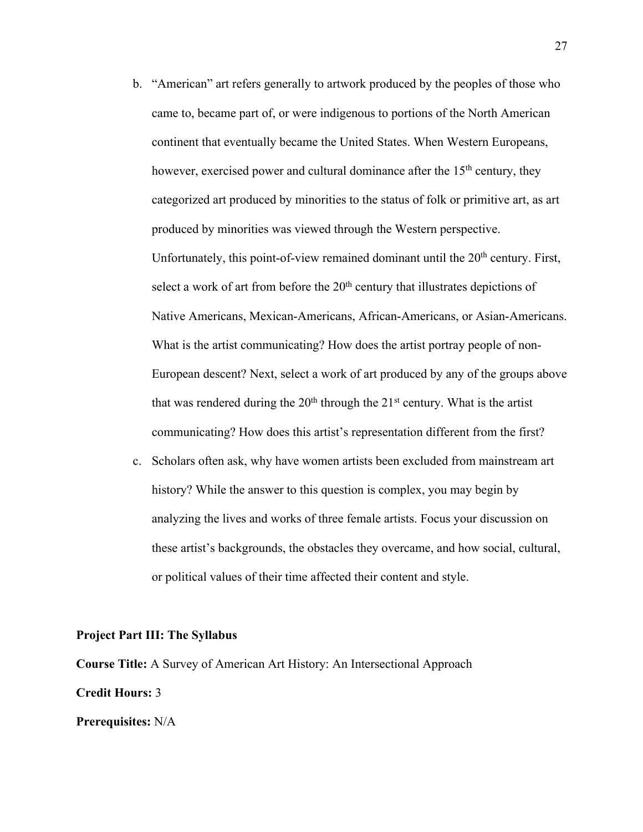- b. "American" art refers generally to artwork produced by the peoples of those who came to, became part of, or were indigenous to portions of the North American continent that eventually became the United States. When Western Europeans, however, exercised power and cultural dominance after the  $15<sup>th</sup>$  century, they categorized art produced by minorities to the status of folk or primitive art, as art produced by minorities was viewed through the Western perspective. Unfortunately, this point-of-view remained dominant until the  $20<sup>th</sup>$  century. First, select a work of art from before the  $20<sup>th</sup>$  century that illustrates depictions of Native Americans, Mexican-Americans, African-Americans, or Asian-Americans. What is the artist communicating? How does the artist portray people of non-European descent? Next, select a work of art produced by any of the groups above that was rendered during the  $20<sup>th</sup>$  through the  $21<sup>st</sup>$  century. What is the artist communicating? How does this artist's representation different from the first?
- c. Scholars often ask, why have women artists been excluded from mainstream art history? While the answer to this question is complex, you may begin by analyzing the lives and works of three female artists. Focus your discussion on these artist's backgrounds, the obstacles they overcame, and how social, cultural, or political values of their time affected their content and style.

#### **Project Part III: The Syllabus**

**Course Title:** A Survey of American Art History: An Intersectional Approach **Credit Hours:** 3 **Prerequisites:** N/A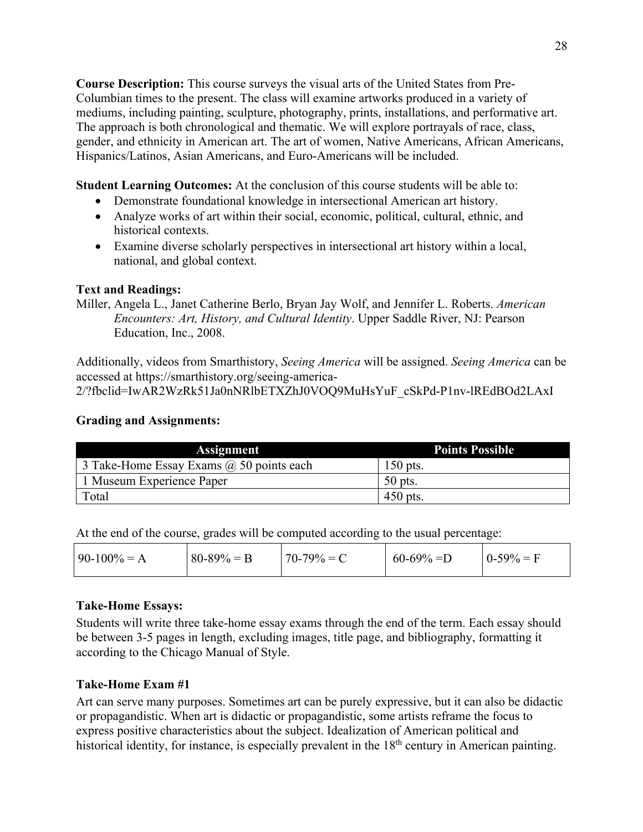**Course Description:** This course surveys the visual arts of the United States from Pre-Columbian times to the present. The class will examine artworks produced in a variety of mediums, including painting, sculpture, photography, prints, installations, and performative art. The approach is both chronological and thematic. We will explore portrayals of race, class, gender, and ethnicity in American art. The art of women, Native Americans, African Americans, Hispanics/Latinos, Asian Americans, and Euro-Americans will be included.

**Student Learning Outcomes:** At the conclusion of this course students will be able to:

- Demonstrate foundational knowledge in intersectional American art history.
- Analyze works of art within their social, economic, political, cultural, ethnic, and historical contexts.
- Examine diverse scholarly perspectives in intersectional art history within a local, national, and global context.

# **Text and Readings:**

Miller, Angela L., Janet Catherine Berlo, Bryan Jay Wolf, and Jennifer L. Roberts. *American Encounters: Art, History, and Cultural Identity*. Upper Saddle River, NJ: Pearson Education, Inc., 2008.

Additionally, videos from Smarthistory, *Seeing America* will be assigned. *Seeing America* can be accessed at https://smarthistory.org/seeing-america-

2/?fbclid=IwAR2WzRk51Ja0nNRlbETXZhJ0VOQ9MuHsYuF\_cSkPd-P1nv-lREdBOd2LAxI

# **Grading and Assignments:**

| <b>Assignment</b>                               | <b>Points Possible</b> |
|-------------------------------------------------|------------------------|
| 3 Take-Home Essay Exams $\omega$ 50 points each | $150$ pts.             |
| 1 Museum Experience Paper                       | $50$ pts.              |
| Total                                           | $450$ pts.             |

At the end of the course, grades will be computed according to the usual percentage:

| $90-100% = A$ | $80-89\% = B$ | $170-79\% = C$ | $60-69\% = D$ | $0-59\% = F$ |
|---------------|---------------|----------------|---------------|--------------|
|               |               |                |               |              |

## **Take-Home Essays:**

Students will write three take-home essay exams through the end of the term. Each essay should be between 3-5 pages in length, excluding images, title page, and bibliography, formatting it according to the Chicago Manual of Style.

# **Take-Home Exam #1**

Art can serve many purposes. Sometimes art can be purely expressive, but it can also be didactic or propagandistic. When art is didactic or propagandistic, some artists reframe the focus to express positive characteristics about the subject. Idealization of American political and historical identity, for instance, is especially prevalent in the 18<sup>th</sup> century in American painting.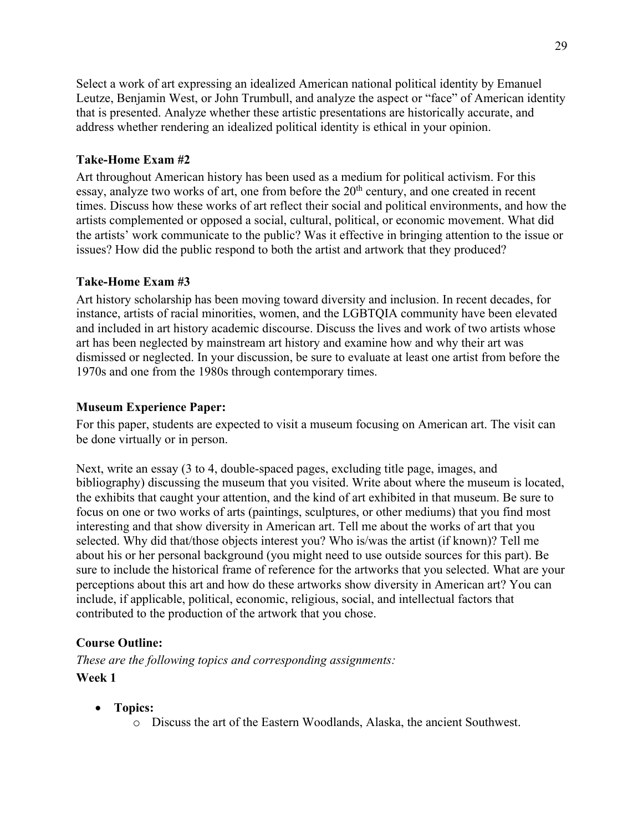Select a work of art expressing an idealized American national political identity by Emanuel Leutze, Benjamin West, or John Trumbull, and analyze the aspect or "face" of American identity that is presented. Analyze whether these artistic presentations are historically accurate, and address whether rendering an idealized political identity is ethical in your opinion.

# **Take-Home Exam #2**

Art throughout American history has been used as a medium for political activism. For this essay, analyze two works of art, one from before the  $20<sup>th</sup>$  century, and one created in recent times. Discuss how these works of art reflect their social and political environments, and how the artists complemented or opposed a social, cultural, political, or economic movement. What did the artists' work communicate to the public? Was it effective in bringing attention to the issue or issues? How did the public respond to both the artist and artwork that they produced?

# **Take-Home Exam #3**

Art history scholarship has been moving toward diversity and inclusion. In recent decades, for instance, artists of racial minorities, women, and the LGBTQIA community have been elevated and included in art history academic discourse. Discuss the lives and work of two artists whose art has been neglected by mainstream art history and examine how and why their art was dismissed or neglected. In your discussion, be sure to evaluate at least one artist from before the 1970s and one from the 1980s through contemporary times.

## **Museum Experience Paper:**

For this paper, students are expected to visit a museum focusing on American art. The visit can be done virtually or in person.

Next, write an essay (3 to 4, double-spaced pages, excluding title page, images, and bibliography) discussing the museum that you visited. Write about where the museum is located, the exhibits that caught your attention, and the kind of art exhibited in that museum. Be sure to focus on one or two works of arts (paintings, sculptures, or other mediums) that you find most interesting and that show diversity in American art. Tell me about the works of art that you selected. Why did that/those objects interest you? Who is/was the artist (if known)? Tell me about his or her personal background (you might need to use outside sources for this part). Be sure to include the historical frame of reference for the artworks that you selected. What are your perceptions about this art and how do these artworks show diversity in American art? You can include, if applicable, political, economic, religious, social, and intellectual factors that contributed to the production of the artwork that you chose.

# **Course Outline:**

*These are the following topics and corresponding assignments:* **Week 1** 

- **Topics:** 
	- o Discuss the art of the Eastern Woodlands, Alaska, the ancient Southwest.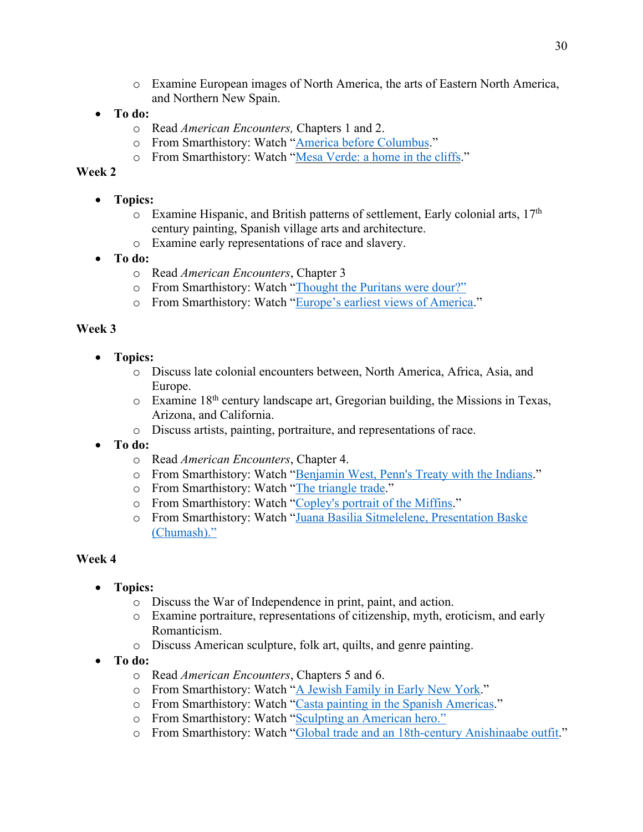- o Examine European images of North America, the arts of Eastern North America, and Northern New Spain.
- **To do:** 
	- o Read *American Encounters,* Chapters 1 and 2.
	- o From Smarthistory: Watch "America before Columbus."
	- o From Smarthistory: Watch "Mesa Verde: a home in the cliffs."

# **Week 2**

- **Topics:** 
	- $\circ$  Examine Hispanic, and British patterns of settlement, Early colonial arts, 17<sup>th</sup> century painting, Spanish village arts and architecture.
	- o Examine early representations of race and slavery.
- **To do:** 
	- o Read *American Encounters*, Chapter 3
	- o From Smarthistory: Watch "Thought the Puritans were dour?"
	- o From Smarthistory: Watch "Europe's earliest views of America."

# **Week 3**

- **Topics:** 
	- o Discuss late colonial encounters between, North America, Africa, Asia, and Europe.
	- $\circ$  Examine 18<sup>th</sup> century landscape art, Gregorian building, the Missions in Texas, Arizona, and California.
	- o Discuss artists, painting, portraiture, and representations of race.
- **To do:** 
	- o Read *American Encounters*, Chapter 4.
	- o From Smarthistory: Watch "Benjamin West, Penn's Treaty with the Indians."
	- o From Smarthistory: Watch "The triangle trade."
	- o From Smarthistory: Watch "Copley's portrait of the Miffins."
	- o From Smarthistory: Watch "Juana Basilia Sitmelelene, Presentation Baske (Chumash)."

- **Topics:** 
	- o Discuss the War of Independence in print, paint, and action.
	- o Examine portraiture, representations of citizenship, myth, eroticism, and early Romanticism.
	- o Discuss American sculpture, folk art, quilts, and genre painting.
- **To do:** 
	- o Read *American Encounters*, Chapters 5 and 6.
	- o From Smarthistory: Watch "A Jewish Family in Early New York."
	- o From Smarthistory: Watch "Casta painting in the Spanish Americas."
	- o From Smarthistory: Watch "Sculpting an American hero."
	- o From Smarthistory: Watch "Global trade and an 18th-century Anishinaabe outfit."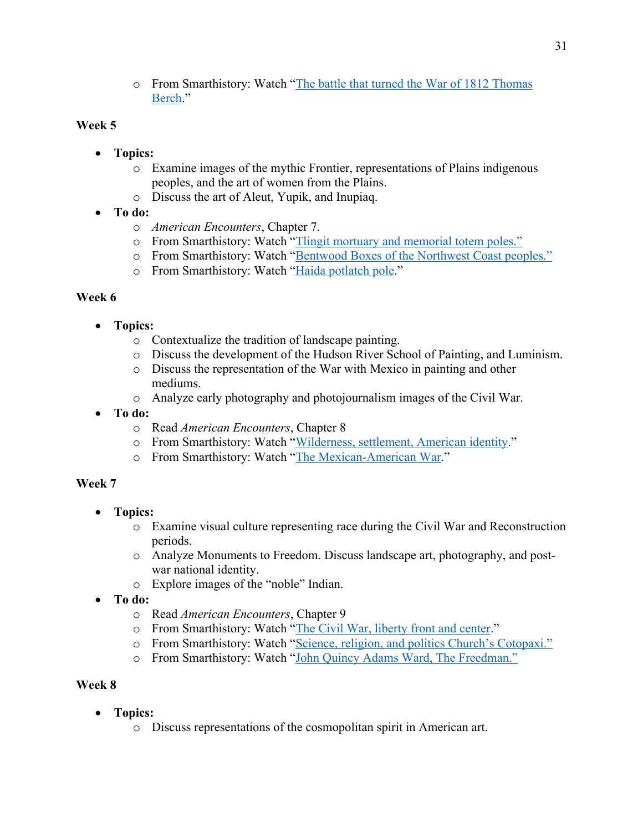o From Smarthistory: Watch "The battle that turned the War of 1812 Thomas Berch."

# **Week 5**

- **Topics:** 
	- o Examine images of the mythic Frontier, representations of Plains indigenous peoples, and the art of women from the Plains.
	- o Discuss the art of Aleut, Yupik, and Inupiaq.
- **To do:**
	- o *American Encounters*, Chapter 7.
	- o From Smarthistory: Watch "Tlingit mortuary and memorial totem poles."
	- o From Smarthistory: Watch "Bentwood Boxes of the Northwest Coast peoples."
	- o From Smarthistory: Watch "Haida potlatch pole."

# **Week 6**

- **Topics:** 
	- o Contextualize the tradition of landscape painting.
	- o Discuss the development of the Hudson River School of Painting, and Luminism.
	- o Discuss the representation of the War with Mexico in painting and other mediums.
	- o Analyze early photography and photojournalism images of the Civil War.
- **To do:** 
	- o Read *American Encounters*, Chapter 8
	- o From Smarthistory: Watch "Wilderness, settlement, American identity."
	- o From Smarthistory: Watch "The Mexican-American War."

## **Week 7**

- **Topics:** 
	- o Examine visual culture representing race during the Civil War and Reconstruction periods.
	- o Analyze Monuments to Freedom. Discuss landscape art, photography, and postwar national identity.
	- o Explore images of the "noble" Indian.
- **To do:** 
	- o Read *American Encounters*, Chapter 9
	- o From Smarthistory: Watch "The Civil War, liberty front and center."
	- o From Smarthistory: Watch "Science, religion, and politics Church's Cotopaxi."
	- o From Smarthistory: Watch "John Quincy Adams Ward, The Freedman."

- **Topics:** 
	- o Discuss representations of the cosmopolitan spirit in American art.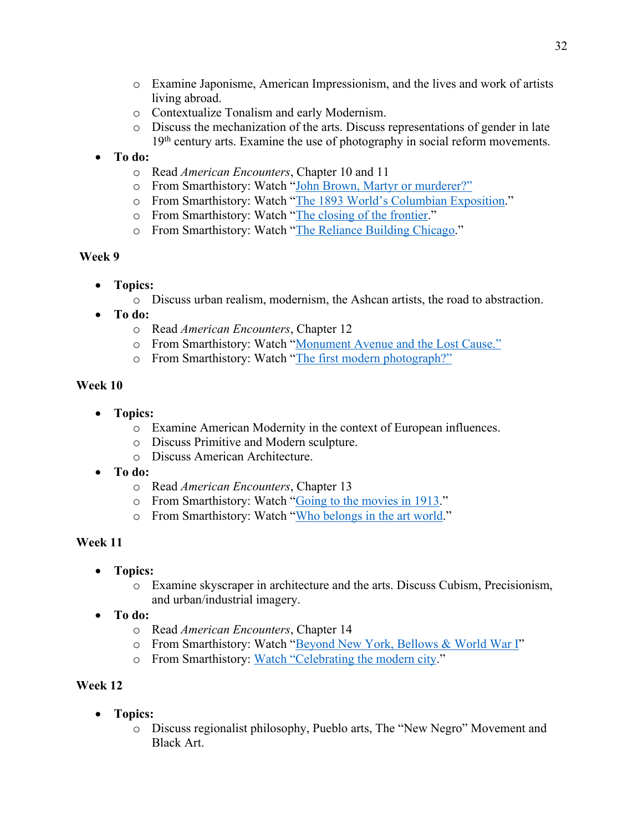- o Examine Japonisme, American Impressionism, and the lives and work of artists living abroad.
- o Contextualize Tonalism and early Modernism.
- o Discuss the mechanization of the arts. Discuss representations of gender in late 19<sup>th</sup> century arts. Examine the use of photography in social reform movements.

# • **To do:**

- o Read *American Encounters*, Chapter 10 and 11
- o From Smarthistory: Watch "John Brown, Martyr or murderer?"
- o From Smarthistory: Watch "The 1893 World's Columbian Exposition."
- o From Smarthistory: Watch "The closing of the frontier."
- o From Smarthistory: Watch "The Reliance Building Chicago."

# **Week 9**

- **Topics:** 
	- o Discuss urban realism, modernism, the Ashcan artists, the road to abstraction.
- **To do:** 
	- o Read *American Encounters*, Chapter 12
	- o From Smarthistory: Watch "Monument Avenue and the Lost Cause."
	- o From Smarthistory: Watch "The first modern photograph?"

# **Week 10**

- **Topics:** 
	- o Examine American Modernity in the context of European influences.
	- o Discuss Primitive and Modern sculpture.
	- o Discuss American Architecture.
- **To do:** 
	- o Read *American Encounters*, Chapter 13
	- o From Smarthistory: Watch "Going to the movies in 1913."
	- o From Smarthistory: Watch "Who belongs in the art world."

# **Week 11**

- **Topics:** 
	- o Examine skyscraper in architecture and the arts. Discuss Cubism, Precisionism, and urban/industrial imagery.
- **To do:** 
	- o Read *American Encounters*, Chapter 14
	- o From Smarthistory: Watch "Beyond New York, Bellows & World War I"
	- o From Smarthistory: Watch "Celebrating the modern city."

- **Topics:** 
	- o Discuss regionalist philosophy, Pueblo arts, The "New Negro" Movement and Black Art.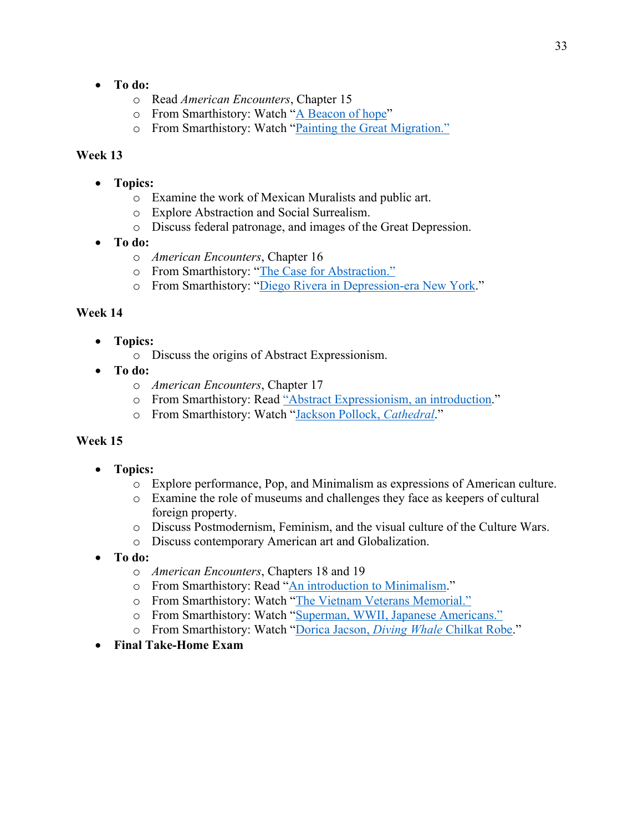- **To do:** 
	- o Read *American Encounters*, Chapter 15
	- o From Smarthistory: Watch "A Beacon of hope"
	- o From Smarthistory: Watch "Painting the Great Migration."

### **Week 13**

- **Topics:** 
	- o Examine the work of Mexican Muralists and public art.
	- o Explore Abstraction and Social Surrealism.
	- o Discuss federal patronage, and images of the Great Depression.
- **To do:** 
	- o *American Encounters*, Chapter 16
	- o From Smarthistory: "The Case for Abstraction."
	- o From Smarthistory: "Diego Rivera in Depression-era New York."

### **Week 14**

- **Topics:** 
	- o Discuss the origins of Abstract Expressionism.
- **To do:** 
	- o *American Encounters*, Chapter 17
	- o From Smarthistory: Read "Abstract Expressionism, an introduction."
	- o From Smarthistory: Watch "Jackson Pollock, *Cathedral*."

- **Topics:** 
	- o Explore performance, Pop, and Minimalism as expressions of American culture.
	- o Examine the role of museums and challenges they face as keepers of cultural foreign property.
	- o Discuss Postmodernism, Feminism, and the visual culture of the Culture Wars.
	- o Discuss contemporary American art and Globalization.
- **To do:** 
	- o *American Encounters*, Chapters 18 and 19
	- o From Smarthistory: Read "An introduction to Minimalism."
	- o From Smarthistory: Watch "The Vietnam Veterans Memorial."
	- o From Smarthistory: Watch "Superman, WWII, Japanese Americans."
	- o From Smarthistory: Watch "Dorica Jacson, *Diving Whale* Chilkat Robe."
- **Final Take-Home Exam**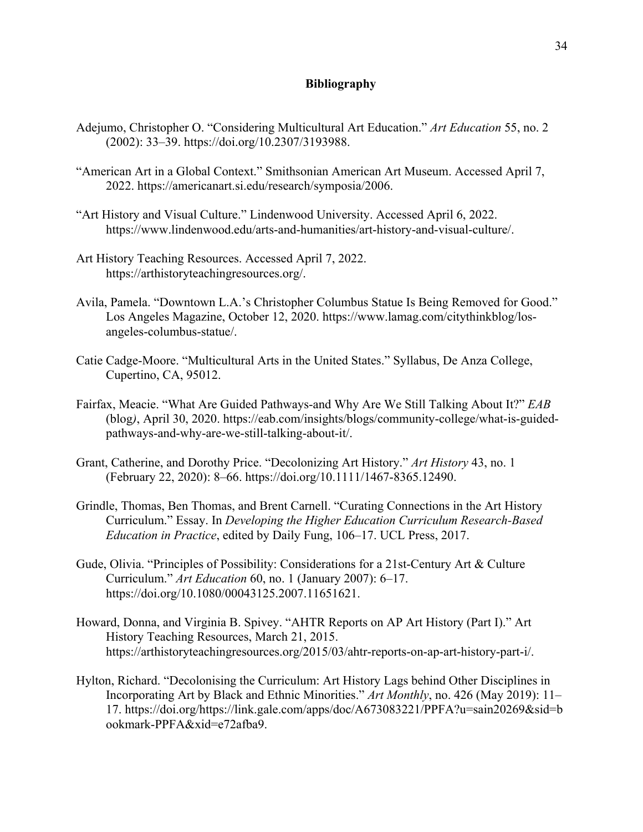### **Bibliography**

- Adejumo, Christopher O. "Considering Multicultural Art Education." *Art Education* 55, no. 2 (2002): 33–39. https://doi.org/10.2307/3193988.
- "American Art in a Global Context." Smithsonian American Art Museum. Accessed April 7, 2022. https://americanart.si.edu/research/symposia/2006.
- "Art History and Visual Culture." Lindenwood University. Accessed April 6, 2022. https://www.lindenwood.edu/arts-and-humanities/art-history-and-visual-culture/.
- Art History Teaching Resources. Accessed April 7, 2022. https://arthistoryteachingresources.org/.
- Avila, Pamela. "Downtown L.A.'s Christopher Columbus Statue Is Being Removed for Good." Los Angeles Magazine, October 12, 2020. https://www.lamag.com/citythinkblog/losangeles-columbus-statue/.
- Catie Cadge-Moore. "Multicultural Arts in the United States." Syllabus, De Anza College, Cupertino, CA, 95012.
- Fairfax, Meacie. "What Are Guided Pathways-and Why Are We Still Talking About It?" *EAB* (blog*)*, April 30, 2020. https://eab.com/insights/blogs/community-college/what-is-guidedpathways-and-why-are-we-still-talking-about-it/.
- Grant, Catherine, and Dorothy Price. "Decolonizing Art History." *Art History* 43, no. 1 (February 22, 2020): 8–66. https://doi.org/10.1111/1467-8365.12490.
- Grindle, Thomas, Ben Thomas, and Brent Carnell. "Curating Connections in the Art History Curriculum." Essay. In *Developing the Higher Education Curriculum Research-Based Education in Practice*, edited by Daily Fung, 106–17. UCL Press, 2017.
- Gude, Olivia. "Principles of Possibility: Considerations for a 21st-Century Art & Culture Curriculum." *Art Education* 60, no. 1 (January 2007): 6–17. https://doi.org/10.1080/00043125.2007.11651621.
- Howard, Donna, and Virginia B. Spivey. "AHTR Reports on AP Art History (Part I)." Art History Teaching Resources, March 21, 2015. https://arthistoryteachingresources.org/2015/03/ahtr-reports-on-ap-art-history-part-i/.
- Hylton, Richard. "Decolonising the Curriculum: Art History Lags behind Other Disciplines in Incorporating Art by Black and Ethnic Minorities." *Art Monthly*, no. 426 (May 2019): 11– 17. https://doi.org/https://link.gale.com/apps/doc/A673083221/PPFA?u=sain20269&sid=b ookmark-PPFA&xid=e72afba9.